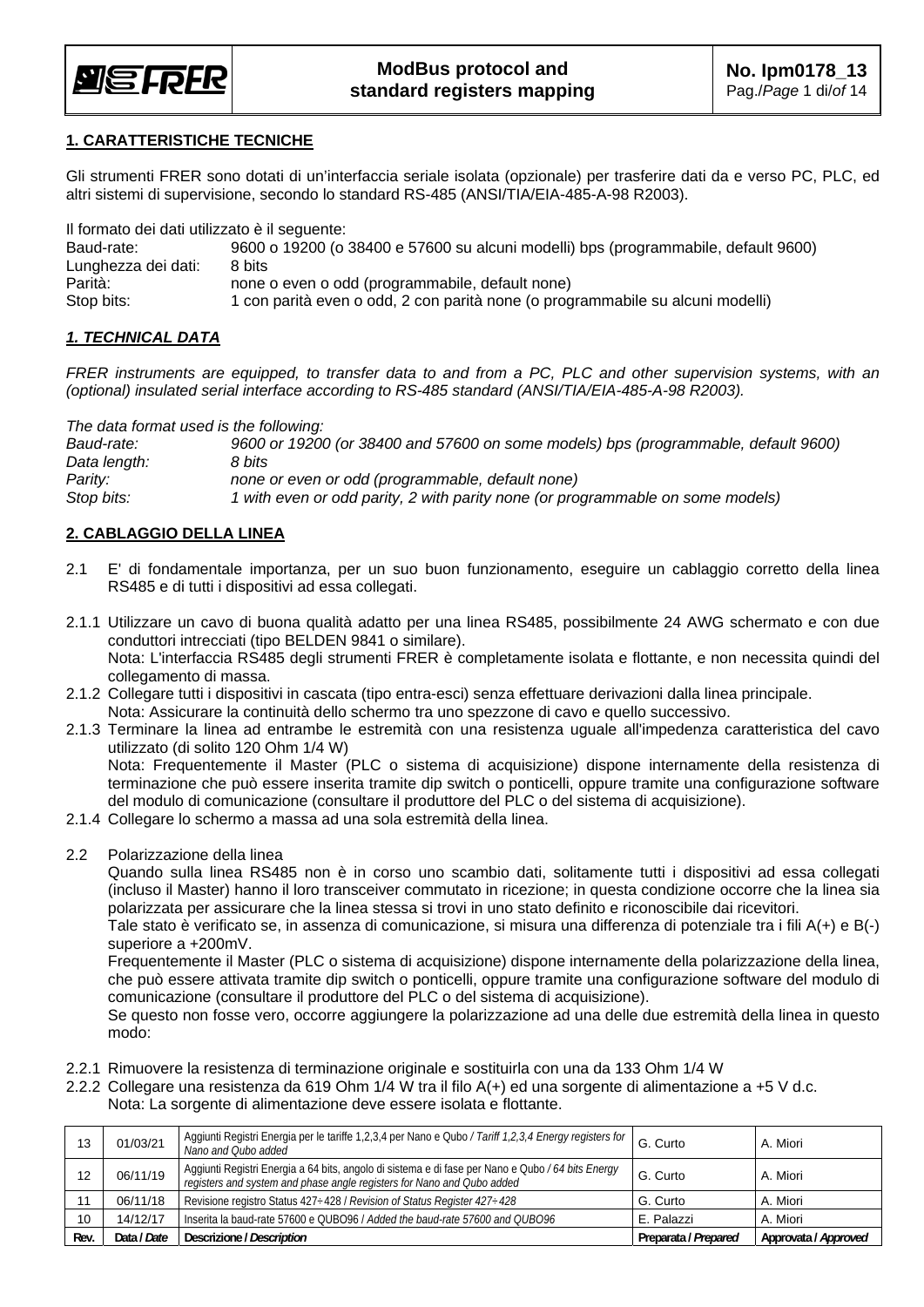

#### **1. CARATTERISTICHE TECNICHE**

Gli strumenti FRER sono dotati di un'interfaccia seriale isolata (opzionale) per trasferire dati da e verso PC, PLC, ed altri sistemi di supervisione, secondo lo standard RS-485 (ANSI/TIA/EIA-485-A-98 R2003).

Il formato dei dati utilizzato è il seguente:

| Baud-rate:          | 9600 o 19200 (o 38400 e 57600 su alcuni modelli) bps (programmabile, default 9600) |
|---------------------|------------------------------------------------------------------------------------|
| Lunghezza dei dati: | 8 bits                                                                             |
| Parità:             | none o even o odd (programmabile, default none)                                    |
| Stop bits:          | 1 con parità even o odd, 2 con parità none (o programmabile su alcuni modelli)     |

#### *1. TECHNICAL DATA*

*FRER instruments are equipped, to transfer data to and from a PC, PLC and other supervision systems, with an (optional) insulated serial interface according to RS-485 standard (ANSI/TIA/EIA-485-A-98 R2003).* 

*The data format used is the following:* 

| Baud-rate:   | 9600 or 19200 (or 38400 and 57600 on some models) bps (programmable, default 9600) |
|--------------|------------------------------------------------------------------------------------|
| Data length: | 8 bits                                                                             |
| Parity:      | none or even or odd (programmable, default none)                                   |
| Stop bits:   | 1 with even or odd parity, 2 with parity none (or programmable on some models)     |

#### **2. CABLAGGIO DELLA LINEA**

- 2.1 E' di fondamentale importanza, per un suo buon funzionamento, eseguire un cablaggio corretto della linea RS485 e di tutti i dispositivi ad essa collegati.
- 2.1.1 Utilizzare un cavo di buona qualità adatto per una linea RS485, possibilmente 24 AWG schermato e con due conduttori intrecciati (tipo BELDEN 9841 o similare). Nota: L'interfaccia RS485 degli strumenti FRER è completamente isolata e flottante, e non necessita quindi del collegamento di massa.
- 2.1.2 Collegare tutti i dispositivi in cascata (tipo entra-esci) senza effettuare derivazioni dalla linea principale. Nota: Assicurare la continuità dello schermo tra uno spezzone di cavo e quello successivo.
- 2.1.3 Terminare la linea ad entrambe le estremità con una resistenza uguale all'impedenza caratteristica del cavo utilizzato (di solito 120 Ohm 1/4 W) Nota: Frequentemente il Master (PLC o sistema di acquisizione) dispone internamente della resistenza di terminazione che può essere inserita tramite dip switch o ponticelli, oppure tramite una configurazione software

del modulo di comunicazione (consultare il produttore del PLC o del sistema di acquisizione).

- 2.1.4 Collegare lo schermo a massa ad una sola estremità della linea.
- 2.2 Polarizzazione della linea

Quando sulla linea RS485 non è in corso uno scambio dati, solitamente tutti i dispositivi ad essa collegati (incluso il Master) hanno il loro transceiver commutato in ricezione; in questa condizione occorre che la linea sia polarizzata per assicurare che la linea stessa si trovi in uno stato definito e riconoscibile dai ricevitori.

Tale stato è verificato se, in assenza di comunicazione, si misura una differenza di potenziale tra i fili A(+) e B(-) superiore a +200mV.

Frequentemente il Master (PLC o sistema di acquisizione) dispone internamente della polarizzazione della linea, che può essere attivata tramite dip switch o ponticelli, oppure tramite una configurazione software del modulo di comunicazione (consultare il produttore del PLC o del sistema di acquisizione).

Se questo non fosse vero, occorre aggiungere la polarizzazione ad una delle due estremità della linea in questo modo:

- 2.2.1 Rimuovere la resistenza di terminazione originale e sostituirla con una da 133 Ohm 1/4 W
- 2.2.2 Collegare una resistenza da 619 Ohm 1/4 W tra il filo A(+) ed una sorgente di alimentazione a +5 V d.c. Nota: La sorgente di alimentazione deve essere isolata e flottante.

| 13   | 01/03/21    | Aggiunti Registri Energia per le tariffe 1,2,3,4 per Nano e Qubo / Tariff 1,2,3,4 Energy registers for<br>Nano and Oubo added                                              | G. Curto             | A. Miori             |
|------|-------------|----------------------------------------------------------------------------------------------------------------------------------------------------------------------------|----------------------|----------------------|
| 12   | 06/11/19    | Aggiunti Registri Energia a 64 bits, angolo di sistema e di fase per Nano e Qubo /64 bits Energy<br>registers and system and phase angle registers for Nano and Oubo added | G. Curto             | A. Miori             |
|      | 06/11/18    | Revisione registro Status 427 : 428 / Revision of Status Register 427 : 428                                                                                                | G. Curto             | A. Miori             |
| 10   | 14/12/17    | Inserita la baud-rate 57600 e QUBO96 / Added the baud-rate 57600 and QUBO96                                                                                                | E. Palazzi           | A. Miori             |
| Rev. | Data / Date | Descrizione / Description                                                                                                                                                  | Preparata / Prepared | Approvata / Approved |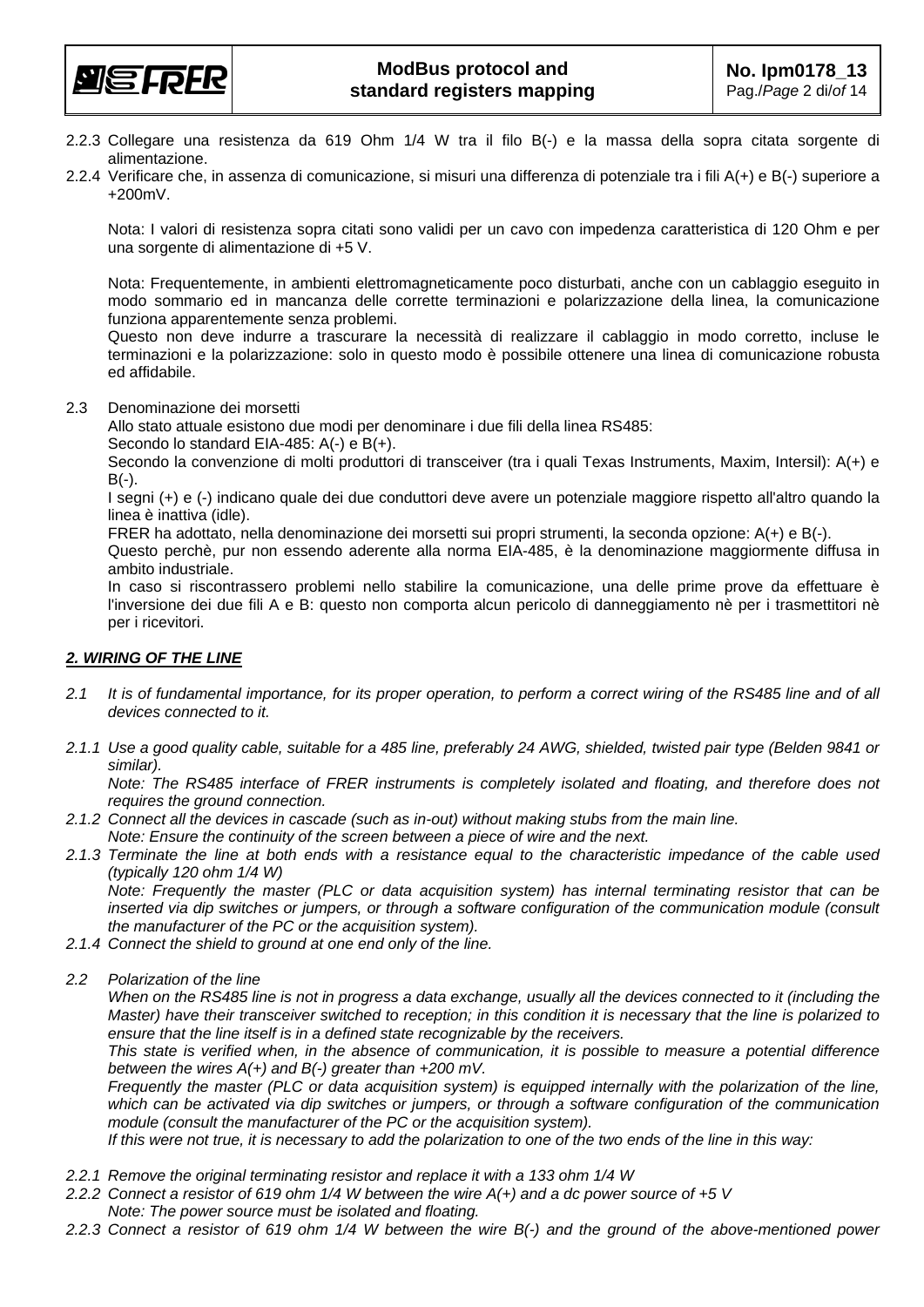

- 2.2.3 Collegare una resistenza da 619 Ohm 1/4 W tra il filo B(-) e la massa della sopra citata sorgente di alimentazione.
- 2.2.4 Verificare che, in assenza di comunicazione, si misuri una differenza di potenziale tra i fili A(+) e B(-) superiore a +200mV.

Nota: I valori di resistenza sopra citati sono validi per un cavo con impedenza caratteristica di 120 Ohm e per una sorgente di alimentazione di +5 V.

Nota: Frequentemente, in ambienti elettromagneticamente poco disturbati, anche con un cablaggio eseguito in modo sommario ed in mancanza delle corrette terminazioni e polarizzazione della linea, la comunicazione funziona apparentemente senza problemi.

Questo non deve indurre a trascurare la necessità di realizzare il cablaggio in modo corretto, incluse le terminazioni e la polarizzazione: solo in questo modo è possibile ottenere una linea di comunicazione robusta ed affidabile.

2.3 Denominazione dei morsetti

Allo stato attuale esistono due modi per denominare i due fili della linea RS485:

Secondo lo standard EIA-485: A(-) e B(+).

Secondo la convenzione di molti produttori di transceiver (tra i quali Texas Instruments, Maxim, Intersil): A(+) e  $B(-)$ .

I segni (+) e (-) indicano quale dei due conduttori deve avere un potenziale maggiore rispetto all'altro quando la linea è inattiva (idle).

FRER ha adottato, nella denominazione dei morsetti sui propri strumenti, la seconda opzione: A(+) e B(-).

Questo perchè, pur non essendo aderente alla norma EIA-485, è la denominazione maggiormente diffusa in ambito industriale.

In caso si riscontrassero problemi nello stabilire la comunicazione, una delle prime prove da effettuare è l'inversione dei due fili A e B: questo non comporta alcun pericolo di danneggiamento nè per i trasmettitori nè per i ricevitori.

#### *2. WIRING OF THE LINE*

- *2.1 It is of fundamental importance, for its proper operation, to perform a correct wiring of the RS485 line and of all devices connected to it.*
- *2.1.1 Use a good quality cable, suitable for a 485 line, preferably 24 AWG, shielded, twisted pair type (Belden 9841 or similar).*

 *Note: The RS485 interface of FRER instruments is completely isolated and floating, and therefore does not requires the ground connection.* 

- *2.1.2 Connect all the devices in cascade (such as in-out) without making stubs from the main line. Note: Ensure the continuity of the screen between a piece of wire and the next.*
- *2.1.3 Terminate the line at both ends with a resistance equal to the characteristic impedance of the cable used (typically 120 ohm 1/4 W)*

 *Note: Frequently the master (PLC or data acquisition system) has internal terminating resistor that can be*  inserted via dip switches or jumpers, or through a software configuration of the communication module (consult *the manufacturer of the PC or the acquisition system).* 

- *2.1.4 Connect the shield to ground at one end only of the line.*
- *2.2 Polarization of the line*

 *When on the RS485 line is not in progress a data exchange, usually all the devices connected to it (including the Master) have their transceiver switched to reception; in this condition it is necessary that the line is polarized to ensure that the line itself is in a defined state recognizable by the receivers.* 

 *This state is verified when, in the absence of communication, it is possible to measure a potential difference between the wires A(+) and B(-) greater than +200 mV.* 

 *Frequently the master (PLC or data acquisition system) is equipped internally with the polarization of the line, which can be activated via dip switches or jumpers, or through a software configuration of the communication module (consult the manufacturer of the PC or the acquisition system).* 

 *If this were not true, it is necessary to add the polarization to one of the two ends of the line in this way:* 

- *2.2.1 Remove the original terminating resistor and replace it with a 133 ohm 1/4 W*
- *2.2.2 Connect a resistor of 619 ohm 1/4 W between the wire A(+) and a dc power source of +5 V Note: The power source must be isolated and floating.*
- *2.2.3 Connect a resistor of 619 ohm 1/4 W between the wire B(-) and the ground of the above-mentioned power*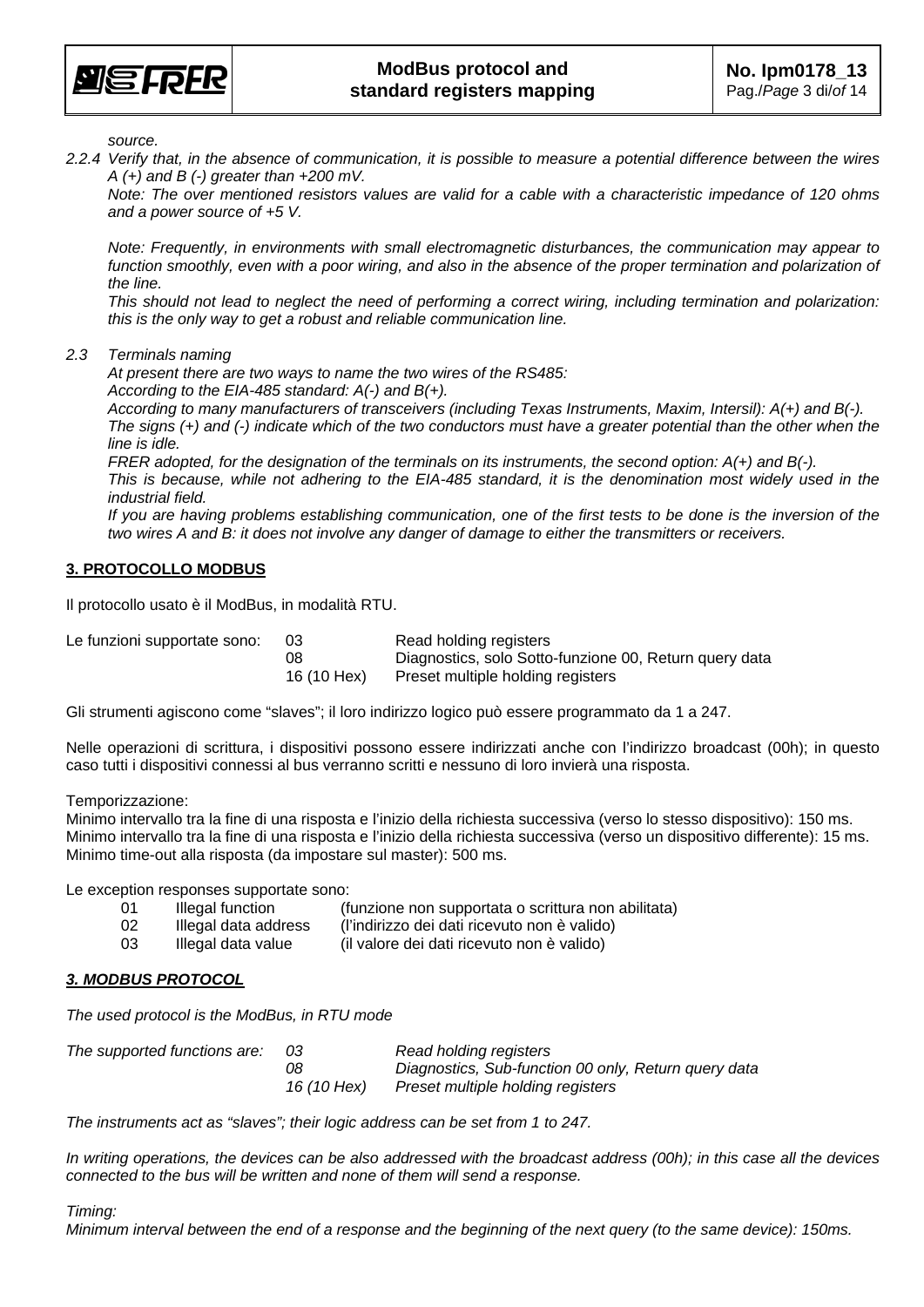

*source.* 

*2.2.4 Verify that, in the absence of communication, it is possible to measure a potential difference between the wires A (+) and B (-) greater than +200 mV.* 

 *Note: The over mentioned resistors values are valid for a cable with a characteristic impedance of 120 ohms and a power source of +5 V.* 

 *Note: Frequently, in environments with small electromagnetic disturbances, the communication may appear to function smoothly, even with a poor wiring, and also in the absence of the proper termination and polarization of the line.* 

 *This should not lead to neglect the need of performing a correct wiring, including termination and polarization: this is the only way to get a robust and reliable communication line.* 

*2.3 Terminals naming* 

 *At present there are two ways to name the two wires of the RS485: According to the EIA-485 standard: A(-) and B(+).* 

 *According to many manufacturers of transceivers (including Texas Instruments, Maxim, Intersil): A(+) and B(-). The signs (+) and (-) indicate which of the two conductors must have a greater potential than the other when the line is idle.* 

 *FRER adopted, for the designation of the terminals on its instruments, the second option: A(+) and B(-). This is because, while not adhering to the EIA-485 standard, it is the denomination most widely used in the industrial field.* 

 *If you are having problems establishing communication, one of the first tests to be done is the inversion of the two wires A and B: it does not involve any danger of damage to either the transmitters or receivers.* 

#### **3. PROTOCOLLO MODBUS**

Il protocollo usato è il ModBus, in modalità RTU.

| Le funzioni supportate sono: | 03          | Read holding registers                                 |
|------------------------------|-------------|--------------------------------------------------------|
|                              | 08          | Diagnostics, solo Sotto-funzione 00, Return query data |
|                              | 16 (10 Hex) | Preset multiple holding registers                      |

Gli strumenti agiscono come "slaves"; il loro indirizzo logico può essere programmato da 1 a 247.

Nelle operazioni di scrittura, i dispositivi possono essere indirizzati anche con l'indirizzo broadcast (00h); in questo caso tutti i dispositivi connessi al bus verranno scritti e nessuno di loro invierà una risposta.

Temporizzazione:

Minimo intervallo tra la fine di una risposta e l'inizio della richiesta successiva (verso lo stesso dispositivo): 150 ms. Minimo intervallo tra la fine di una risposta e l'inizio della richiesta successiva (verso un dispositivo differente): 15 ms. Minimo time-out alla risposta (da impostare sul master): 500 ms.

Le exception responses supportate sono:

- 01 Illegal function (funzione non supportata o scrittura non abilitata) 02 Illegal data address (l'indirizzo dei dati ricevuto non è valido)
- 03 Illegal data value (il valore dei dati ricevuto non è valido)

#### *3. MODBUS PROTOCOL*

*The used protocol is the ModBus, in RTU mode* 

| The supported functions are: | -03         | Read holding registers                               |
|------------------------------|-------------|------------------------------------------------------|
|                              | 08          | Diagnostics, Sub-function 00 only, Return query data |
|                              | 16 (10 Hex) | Preset multiple holding registers                    |

*The instruments act as "slaves"; their logic address can be set from 1 to 247.* 

*In writing operations, the devices can be also addressed with the broadcast address (00h); in this case all the devices connected to the bus will be written and none of them will send a response.* 

*Timing:* 

*Minimum interval between the end of a response and the beginning of the next query (to the same device): 150ms.*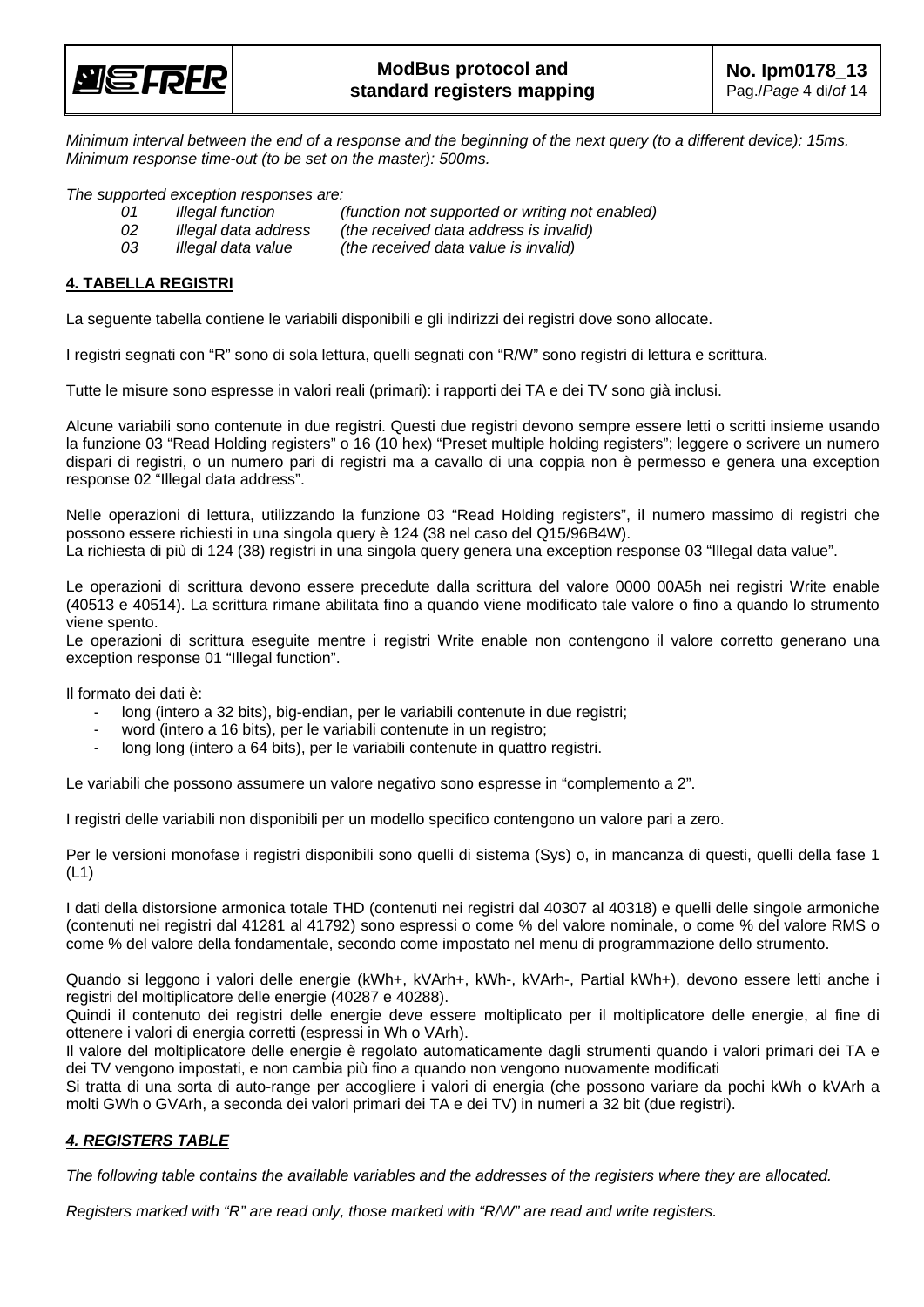

*Minimum interval between the end of a response and the beginning of the next query (to a different device): 15ms. Minimum response time-out (to be set on the master): 500ms.* 

*The supported exception responses are:* 

- *01 Illegal function (function not supported or writing not enabled)*
- *02 Illegal data address (the received data address is invalid)* 
	-
- 

 *03 Illegal data value (the received data value is invalid)* 

#### **4. TABELLA REGISTRI**

La seguente tabella contiene le variabili disponibili e gli indirizzi dei registri dove sono allocate.

I registri segnati con "R" sono di sola lettura, quelli segnati con "R/W" sono registri di lettura e scrittura.

Tutte le misure sono espresse in valori reali (primari): i rapporti dei TA e dei TV sono già inclusi.

Alcune variabili sono contenute in due registri. Questi due registri devono sempre essere letti o scritti insieme usando la funzione 03 "Read Holding registers" o 16 (10 hex) "Preset multiple holding registers"; leggere o scrivere un numero dispari di registri, o un numero pari di registri ma a cavallo di una coppia non è permesso e genera una exception response 02 "Illegal data address".

Nelle operazioni di lettura, utilizzando la funzione 03 "Read Holding registers", il numero massimo di registri che possono essere richiesti in una singola query è 124 (38 nel caso del Q15/96B4W).

La richiesta di più di 124 (38) registri in una singola query genera una exception response 03 "Illegal data value".

Le operazioni di scrittura devono essere precedute dalla scrittura del valore 0000 00A5h nei registri Write enable (40513 e 40514). La scrittura rimane abilitata fino a quando viene modificato tale valore o fino a quando lo strumento viene spento.

Le operazioni di scrittura eseguite mentre i registri Write enable non contengono il valore corretto generano una exception response 01 "Illegal function".

Il formato dei dati è:

- long (intero a 32 bits), big-endian, per le variabili contenute in due registri;
- word (intero a 16 bits), per le variabili contenute in un registro;
- long long (intero a 64 bits), per le variabili contenute in quattro registri.

Le variabili che possono assumere un valore negativo sono espresse in "complemento a 2".

I registri delle variabili non disponibili per un modello specifico contengono un valore pari a zero.

Per le versioni monofase i registri disponibili sono quelli di sistema (Sys) o, in mancanza di questi, quelli della fase 1 (L1)

I dati della distorsione armonica totale THD (contenuti nei registri dal 40307 al 40318) e quelli delle singole armoniche (contenuti nei registri dal 41281 al 41792) sono espressi o come % del valore nominale, o come % del valore RMS o come % del valore della fondamentale, secondo come impostato nel menu di programmazione dello strumento.

Quando si leggono i valori delle energie (kWh+, kVArh+, kWh-, kVArh-, Partial kWh+), devono essere letti anche i registri del moltiplicatore delle energie (40287 e 40288).

Quindi il contenuto dei registri delle energie deve essere moltiplicato per il moltiplicatore delle energie, al fine di ottenere i valori di energia corretti (espressi in Wh o VArh).

Il valore del moltiplicatore delle energie è regolato automaticamente dagli strumenti quando i valori primari dei TA e dei TV vengono impostati, e non cambia più fino a quando non vengono nuovamente modificati

Si tratta di una sorta di auto-range per accogliere i valori di energia (che possono variare da pochi kWh o kVArh a molti GWh o GVArh, a seconda dei valori primari dei TA e dei TV) in numeri a 32 bit (due registri).

#### *4. REGISTERS TABLE*

*The following table contains the available variables and the addresses of the registers where they are allocated.* 

*Registers marked with "R" are read only, those marked with "R/W" are read and write registers.*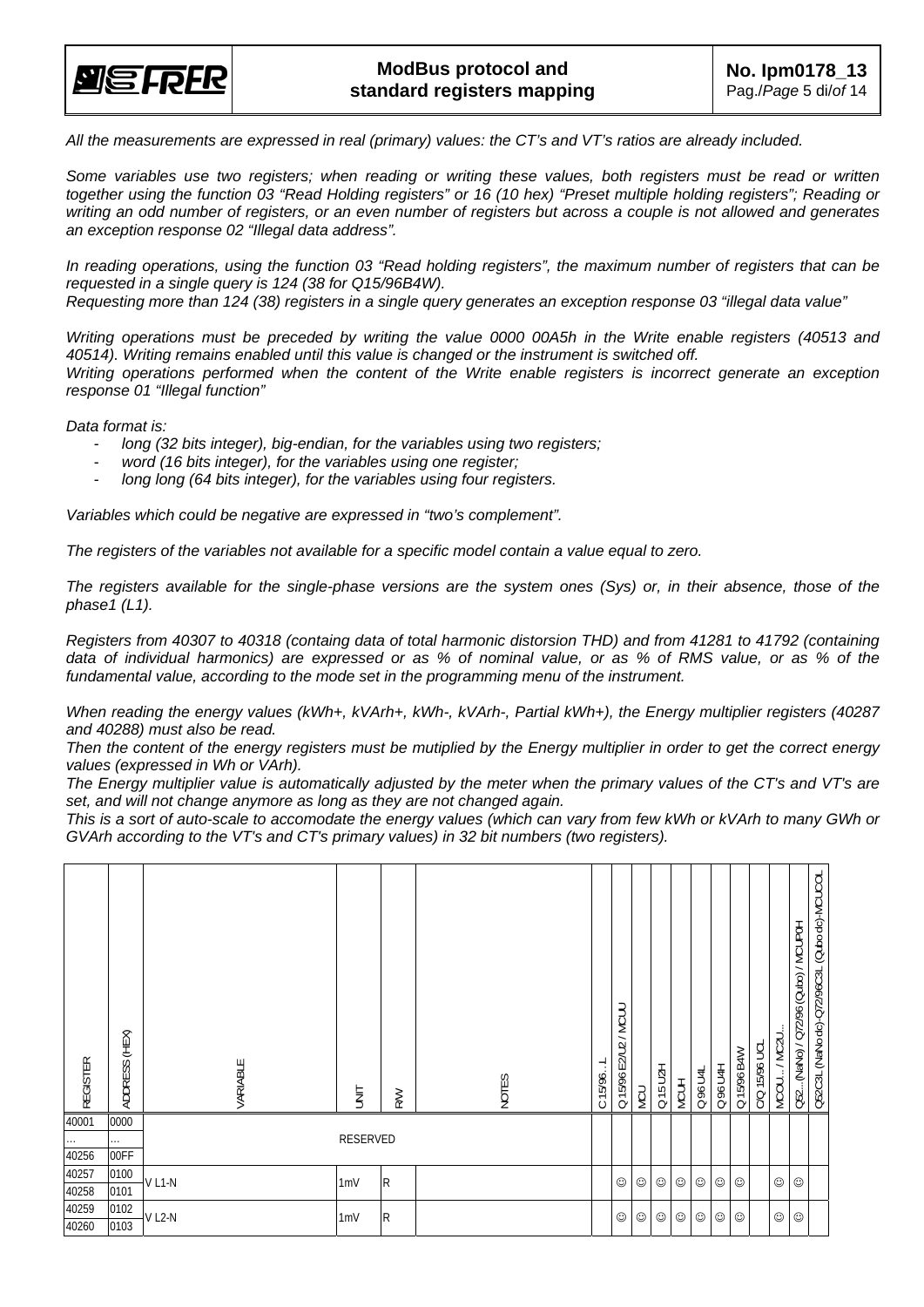

*All the measurements are expressed in real (primary) values: the CT's and VT's ratios are already included.* 

*Some variables use two registers; when reading or writing these values, both registers must be read or written together using the function 03 "Read Holding registers" or 16 (10 hex) "Preset multiple holding registers"; Reading or writing an odd number of registers, or an even number of registers but across a couple is not allowed and generates an exception response 02 "Illegal data address".* 

*In reading operations, using the function 03 "Read holding registers", the maximum number of registers that can be requested in a single query is 124 (38 for Q15/96B4W). Requesting more than 124 (38) registers in a single query generates an exception response 03 "illegal data value"* 

*Writing operations must be preceded by writing the value 0000 00A5h in the Write enable registers (40513 and 40514). Writing remains enabled until this value is changed or the instrument is switched off. Writing operations performed when the content of the Write enable registers is incorrect generate an exception response 01 "Illegal function"* 

*Data format is:* 

- *long (32 bits integer), big-endian, for the variables using two registers;*
- *word (16 bits integer), for the variables using one register;*
- *long long (64 bits integer), for the variables using four registers.*

*Variables which could be negative are expressed in "two's complement".* 

*The registers of the variables not available for a specific model contain a value equal to zero.* 

*The registers available for the single-phase versions are the system ones (Sys) or, in their absence, those of the phase1 (L1).* 

*Registers from 40307 to 40318 (containg data of total harmonic distorsion THD) and from 41281 to 41792 (containing data of individual harmonics) are expressed or as % of nominal value, or as % of RMS value, or as % of the fundamental value, according to the mode set in the programming menu of the instrument.* 

*When reading the energy values (kWh+, kVArh+, kWh-, kVArh-, Partial kWh+), the Energy multiplier registers (40287 and 40288) must also be read.* 

*Then the content of the energy registers must be mutiplied by the Energy multiplier in order to get the correct energy values (expressed in Wh or VArh).* 

*The Energy multiplier value is automatically adjusted by the meter when the primary values of the CT's and VT's are set, and will not change anymore as long as they are not changed again.* 

*This is a sort of auto-scale to accomodate the energy values (which can vary from few kWh or kVArh to many GWh or GVArh according to the VT's and CT's primary values) in 32 bit numbers (two registers).* 

| <b>REGISTER</b> | ADDRESS (HEX) | VARIABLE | <b>UNIT</b>     | <b>RW</b> | <b>NOTES</b> | بـ<br>C15/96. | E2/U2 / MCUU<br>Q15/96 | <b>MCU</b> | Q 15 U2H | <b>MCUH</b> | Q96 U4L | Q 96 U4H   | Q 15/96 B4W | C/Q 15/96 UCL | MCOU/MC2U  | O52(NaNo) / Q72/96 (Qubo) / MCUP0H | Q52C3L (NaNo dc)-Q72/96C3L (Qubo dc)-MCUCOL |
|-----------------|---------------|----------|-----------------|-----------|--------------|---------------|------------------------|------------|----------|-------------|---------|------------|-------------|---------------|------------|------------------------------------|---------------------------------------------|
| 40001           | 0000          |          |                 |           |              |               |                        |            |          |             |         |            |             |               |            |                                    |                                             |
| $\cdots$        | .             |          | RESERVED        |           |              |               |                        |            |          |             |         |            |             |               |            |                                    |                                             |
| 40256           | 00FF          |          |                 |           |              |               |                        |            |          |             |         |            |             |               |            |                                    |                                             |
| 40257           | 0100          | $V L1-N$ | 1mV             | R         |              |               | ☺                      | ☺          | ☺        | ☺           | $\odot$ | $_{\odot}$ | $\odot$     |               | ☺          | ☺                                  |                                             |
| 40258           | 0101          |          |                 |           |              |               |                        |            |          |             |         |            |             |               |            |                                    |                                             |
| 40259           | 0102          | VL2-N    | 1 <sub>mV</sub> | R         |              |               | ☺                      | ☺          | ☺        | ☺           | ☺       | ☺          | $_{\odot}$  |               | $_{\odot}$ | ☺                                  |                                             |
| 40260           | 0103          |          |                 |           |              |               |                        |            |          |             |         |            |             |               |            |                                    |                                             |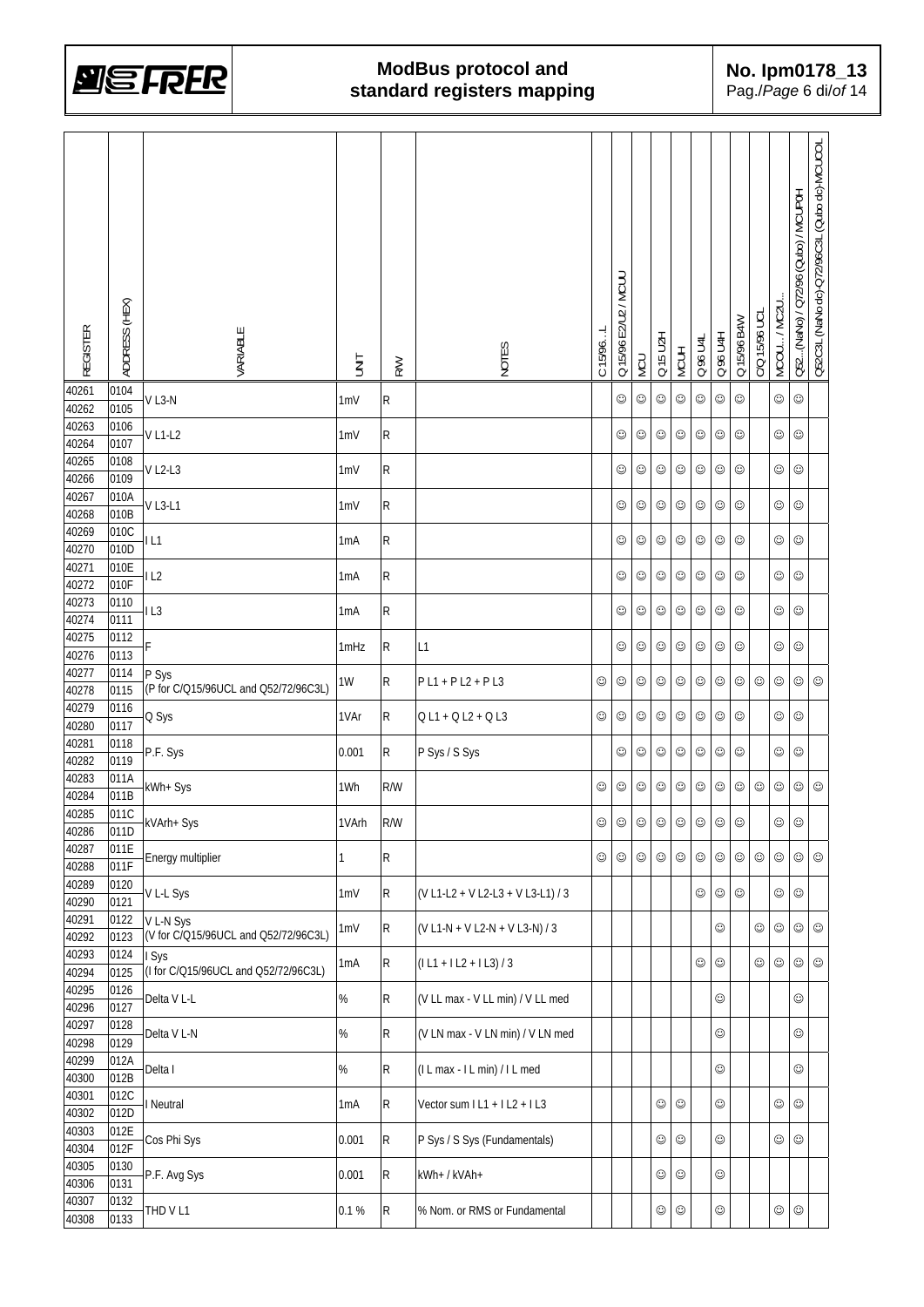

| <b>REGISTER</b> | ADDRESS (HEX) | VARIABLE                                          | <b>TINU</b>      | <b>RW</b>   | NOTES                             | C 15/96.   | Q 15/96 E2/U2 / MCUU | NCU        | Q 15 U2H   | <b>MCUH</b> | Q 96 U4L   | Q 96 U4H   | Q 15/96 B4W | C/Q 15/96 UCL | MCOU / MC2U. | Q52(NaNo) / Q72/96 (Qubo) / MCUP0H | Q52C3L (NaNo dc)-Q72/96C3L (Qubo dc)-MCUCOL |
|-----------------|---------------|---------------------------------------------------|------------------|-------------|-----------------------------------|------------|----------------------|------------|------------|-------------|------------|------------|-------------|---------------|--------------|------------------------------------|---------------------------------------------|
| 40261<br>40262  | 0104<br>0105  | $V$ L3-N                                          | 1mV              | R           |                                   |            | ☺                    | ☺          | ☺          | ☺           | ☺          | ☺          | $\odot$     |               | $_{\odot}$   | ☺                                  |                                             |
| 40263           | 0106          |                                                   |                  |             |                                   |            |                      |            |            |             |            |            |             |               |              |                                    |                                             |
| 40264           | 0107          | V L1-L2                                           | 1mV              | R           |                                   |            | $_{\odot}$           | $\odot$    | $\odot$    | $_{\odot}$  | $\odot$    | ☺          | ☺           |               | ☺            | ☺                                  |                                             |
| 40265<br>40266  | 0108<br>0109  | $V$ L2-L3                                         | 1mV              | R           |                                   |            | $_{\odot}$           | $\odot$    | $_{\odot}$ | $_{\odot}$  | ☺          | $_{\odot}$ | $\odot$     |               | ☺            | ☺                                  |                                             |
| 40267<br>40268  | 010A<br>010B  | $V$ L3-L1                                         | 1mV              | R           |                                   |            | $_{\odot}$           | $\odot$    | $_{\odot}$ | $\odot$     | $_{\odot}$ | $_{\odot}$ | $\odot$     |               | $\odot$      | ☺                                  |                                             |
| 40269           | 010C          |                                                   |                  |             |                                   |            |                      |            |            |             |            |            |             |               |              |                                    |                                             |
| 40270           | 010D          | L1                                                | 1mA              | R           |                                   |            | $_{\odot}$           | $_{\odot}$ | $_{\odot}$ | $_{\odot}$  | $_{\odot}$ | $_{\odot}$ | $\odot$     |               | $_{\odot}$   | ☺                                  |                                             |
| 40271           | 010E          | IL2                                               | 1 <sub>m</sub> A | R           |                                   |            | $_{\odot}$           | $\odot$    | $_{\odot}$ | $_{\odot}$  | ☺          | ☺          | $\odot$     |               | $_{\odot}$   | ☺                                  |                                             |
| 40272<br>40273  | 010F<br>0110  |                                                   |                  |             |                                   |            |                      |            |            |             |            |            |             |               |              |                                    |                                             |
| 40274           | 0111          | IL3                                               | 1mA              | R           |                                   |            | $_{\odot}$           | ☺          | $\odot$    | $_{\odot}$  | ☺          | ☺          | ☺           |               | $_{\odot}$   | ☺                                  |                                             |
| 40275           | 0112          | F                                                 | 1mHz             | R           | L1                                |            | $_{\odot}$           | $_{\odot}$ | $_{\odot}$ | $_{\odot}$  | ☺          | $_{\odot}$ | $_{\odot}$  |               | $_{\odot}$   | ☺                                  |                                             |
| 40276           | 0113          |                                                   |                  |             |                                   |            |                      |            |            |             |            |            |             |               |              |                                    |                                             |
| 40277<br>40278  | 0114<br>0115  | P Sys<br>(P for C/Q15/96UCL and Q52/72/96C3L)     | 1W               | R           | $P L1 + P L2 + P L3$              | ☺          | $_{\odot}$           | $_{\odot}$ | $_{\odot}$ | $_{\odot}$  | ☺          | $_{\odot}$ | $_{\odot}$  | $_{\odot}$    | $_{\odot}$   | $_{\odot}$                         | ☺                                           |
| 40279           | 0116          |                                                   |                  |             |                                   |            |                      |            |            |             |            |            |             |               |              |                                    |                                             |
| 40280           | 0117          | Q Sys                                             | 1VAr             | R           | $Q L1 + Q L2 + Q L3$              | ☺          | ☺                    | ☺          | $_{\odot}$ | ☺           | ☺          | ☺          | $\odot$     |               | $_{\odot}$   | ☺                                  |                                             |
| 40281<br>40282  | 0118<br>0119  | P.F. Sys                                          | 0.001            | R           | P Sys / S Sys                     |            | ☺                    | $\odot$    | $\odot$    | $_{\odot}$  | ☺          | ☺          | $\odot$     |               | ☺            | ☺                                  |                                             |
| 40283           | 011A          |                                                   |                  |             |                                   |            |                      |            |            |             |            |            |             |               |              |                                    |                                             |
| 40284           | 011B          | kWh+ Sys                                          | 1Wh              | R/W         |                                   | $_{\odot}$ | ☺                    | $_{\odot}$ | $_{\odot}$ | $_{\odot}$  | ☺          | $_{\odot}$ | $_{\odot}$  | $_{\odot}$    | $_{\odot}$   | $_{\odot}$                         | ☺                                           |
| 40285           | 011C          | kVArh+ Sys                                        | 1VArh            | R/W         |                                   | $\odot$    | $\odot$              | $\odot$    | $\odot$    | $\odot$     | $_{\odot}$ | $\odot$    | $\odot$     |               | $\odot$      | $_{\odot}$                         |                                             |
| 40286<br>40287  | 011D<br>011E  |                                                   |                  |             |                                   |            |                      |            |            |             |            |            |             |               |              |                                    |                                             |
| 40288           | 011F          | Energy multiplier                                 | 1                | R           |                                   | ☺          | ☺                    | ☺          | ☺          | ☺           | ☺          | ☺          | ☺           | ☺             | $_{\odot}$   | ☺                                  | ☺                                           |
| 40289           | 0120          | V L-L Sys                                         | 1mV              | R           | (V L1-L2 + V L2-L3 + V L3-L1) / 3 |            |                      |            |            |             | $\odot$    | ☺          | $\odot$     |               | $_{\odot}$   | ☺                                  |                                             |
| 40290           | 0121          |                                                   |                  |             |                                   |            |                      |            |            |             |            |            |             |               |              |                                    |                                             |
| 40291<br>40292  | 0122<br>0123  | V L-N Sys<br>(V for C/Q15/96UCL and Q52/72/96C3L) | 1mV              | R           | (V L1-N + V L2-N + V L3-N) / 3    |            |                      |            |            |             |            | ☺          |             | ☺             | $_{\odot}$   | $_{\odot}$                         | ☺                                           |
| 40293           | 0124          | I Sys                                             |                  |             |                                   |            |                      |            |            |             |            |            |             |               |              |                                    |                                             |
| 40294           | 0125          | (I for C/Q15/96UCL and Q52/72/96C3L)              | 1mA              | R           | $( L1 +  L2 +  L3)/3$             |            |                      |            |            |             | ☺          | ☺          |             | ☺             | $_{\odot}$   | $_{\odot}$                         | $_{\odot}$                                  |
| 40295           | 0126          | Delta V L-L                                       | $\%$             | R           | (V LL max - V LL min) / V LL med  |            |                      |            |            |             |            | ☺          |             |               |              | $\odot$                            |                                             |
| 40296<br>40297  | 0127<br>0128  |                                                   |                  |             |                                   |            |                      |            |            |             |            |            |             |               |              |                                    |                                             |
| 40298           | 0129          | Delta V L-N                                       | $\%$             | $\mathsf R$ | (V LN max - V LN min) / V LN med  |            |                      |            |            |             |            | ☺          |             |               |              | ☺                                  |                                             |
| 40299           | 012A          | Delta I                                           | %                | R           | (IL max - IL min) / IL med        |            |                      |            |            |             |            | ☺          |             |               |              | ☺                                  |                                             |
| 40300           | 012B          |                                                   |                  |             |                                   |            |                      |            |            |             |            |            |             |               |              |                                    |                                             |
| 40301<br>40302  | 012C<br>012D  | I Neutral                                         | 1mA              | R           | Vector sum I L1 + I L2 + I L3     |            |                      |            | ☺          | ☺           |            | ☺          |             |               | $_{\odot}$   | ☺                                  |                                             |
| 40303           | 012E          |                                                   | 0.001            | R           |                                   |            |                      |            |            | $\odot$     |            |            |             |               |              |                                    |                                             |
| 40304           | 012F          | Cos Phi Sys                                       |                  |             | P Sys / S Sys (Fundamentals)      |            |                      |            | ☺          |             |            | ☺          |             |               | $_{\odot}$   | ☺                                  |                                             |
| 40305           | 0130<br>0131  | P.F. Avg Sys                                      | 0.001            | R           | kWh+ / kVAh+                      |            |                      |            | $_{\odot}$ | ☺           |            | ☺          |             |               |              |                                    |                                             |
| 40306<br>40307  | 0132          |                                                   |                  |             |                                   |            |                      |            |            |             |            |            |             |               |              |                                    |                                             |
| 40308           | 0133          | THD VL1                                           | 0.1 %            | R           | % Nom. or RMS or Fundamental      |            |                      |            | $_{\odot}$ | ☺           |            | $_{\odot}$ |             |               | $_{\odot}$   | ☺                                  |                                             |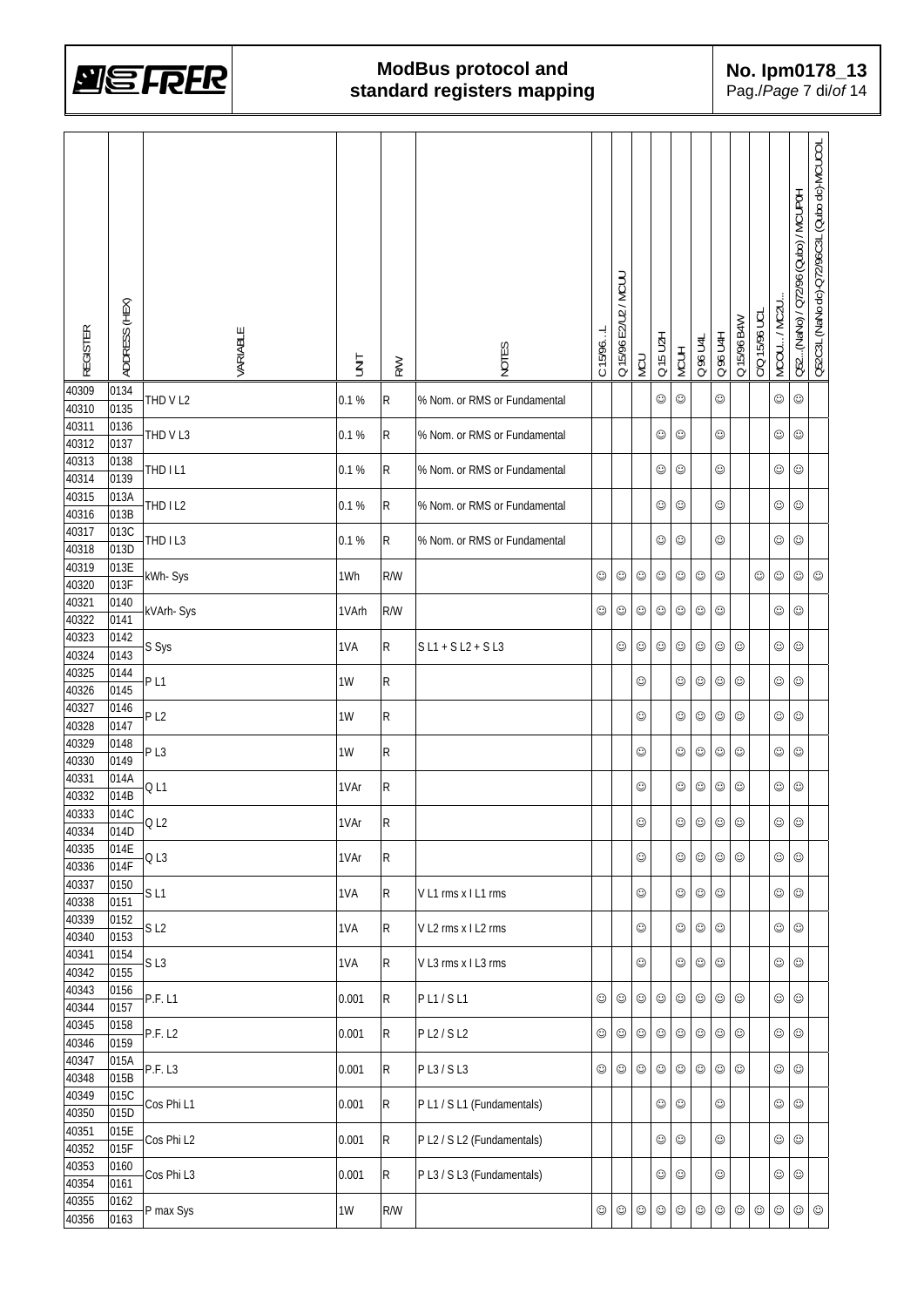

| <b>REGISTER</b> | ADDRESS (HEX) | VARIABLE        | <b>TINIT</b> | <b>RW</b>    | NOTES                        | C 15/96L   | Q 15/96 E2/U2 / MCUU | NCU        | Q 15 U2H   | <b>MCUH</b> | Q 96 U4L   | Q 96 U4H   | Q 15/96 B4W | C/Q 15/96 UCL | MCOU / MC2U | Q52(NaNo) / Q72/96 (Qubo) / MCUP0H | Q52C3L (NaNo dc)-Q72/96C3L (Qubo dc)-MCUCOL |
|-----------------|---------------|-----------------|--------------|--------------|------------------------------|------------|----------------------|------------|------------|-------------|------------|------------|-------------|---------------|-------------|------------------------------------|---------------------------------------------|
| 40309           | 0134          | THD V L2        | 0.1%         | R            | % Nom. or RMS or Fundamental |            |                      |            | ☺          | ☺           |            | ☺          |             |               | ☺           | ☺                                  |                                             |
| 40310<br>40311  | 0135<br>0136  |                 |              |              |                              |            |                      |            |            |             |            |            |             |               |             |                                    |                                             |
| 40312           | 0137          | THD VL3         | 0.1 %        | $\mathsf{R}$ | % Nom. or RMS or Fundamental |            |                      |            | ☺          | ☺           |            | ☺          |             |               | ☺           | ☺                                  |                                             |
| 40313           | 0138          | THD IL1         | 0.1%         | R            | % Nom. or RMS or Fundamental |            |                      |            | ☺          | ☺           |            | ☺          |             |               | ☺           | ☺                                  |                                             |
| 40314<br>40315  | 0139<br>013A  |                 |              |              |                              |            |                      |            |            |             |            |            |             |               |             |                                    |                                             |
| 40316           | 013B          | THD IL2         | 0.1 %        | R            | % Nom. or RMS or Fundamental |            |                      |            | ☺          | ☺           |            | ☺          |             |               | ☺           | ☺                                  |                                             |
| 40317           | 013C          | THD IL3         | 0.1 %        | R            | % Nom. or RMS or Fundamental |            |                      |            | ☺          | ☺           |            | ☺          |             |               | ☺           | $_{\odot}$                         |                                             |
| 40318           | 013D          |                 |              |              |                              |            |                      |            |            |             |            |            |             |               |             |                                    |                                             |
| 40319<br>40320  | 013E<br>013F  | kWh-Sys         | 1Wh          | R/W          |                              | $_{\odot}$ | $_{\odot}$           | $_{\odot}$ | ☺          | ☺           | $\odot$    | ☺          |             | ☺             | ☺           | $_{\odot}$                         | ☺                                           |
| 40321           | 0140          |                 |              |              |                              |            |                      |            |            |             |            |            |             |               |             |                                    |                                             |
| 40322           | 0141          | kVArh-Sys       | 1VArh        | R/W          |                              | ☺          | ☺                    | $_{\odot}$ | ☺          | $_{\odot}$  | ☺          | ☺          |             |               | ☺           | ☺                                  |                                             |
| 40323           | 0142          | S Sys           | 1VA          | R            | $S L1 + S L2 + S L3$         |            | ☺                    | $_{\odot}$ | ☺          | ☺           | ☺          | ☺          | ☺           |               | ☺           | ☺                                  |                                             |
| 40324           | 0143          |                 |              |              |                              |            |                      |            |            |             |            |            |             |               |             |                                    |                                             |
| 40325<br>40326  | 0144<br>0145  | P <sub>L1</sub> | 1W           | R            |                              |            |                      | ☺          |            | ☺           | ☺          | ☺          | ☺           |               | ☺           | ☺                                  |                                             |
| 40327           | 0146          |                 | 1W           | R            |                              |            |                      |            |            |             |            |            |             |               |             |                                    |                                             |
| 40328           | 0147          | P <sub>L2</sub> |              |              |                              |            |                      | ☺          |            | ☺           | $_{\odot}$ | ☺          | ☺           |               | ☺           | ☺                                  |                                             |
| 40329<br>40330  | 0148<br>0149  | PL3             | 1W           | R            |                              |            |                      | ☺          |            | ☺           | $_{\odot}$ | ☺          | ☺           |               | ☺           | ☺                                  |                                             |
| 40331           | 014A          |                 |              |              |                              |            |                      |            |            |             |            |            |             |               |             |                                    |                                             |
| 40332           | 014B          | Q <sub>L1</sub> | 1VAr         | R            |                              |            |                      | ☺          |            | ☺           | ☺          | ☺          | ☺           |               | ☺           | ☺                                  |                                             |
| 40333           | 014C          | Q <sub>L2</sub> | 1VAr         | R            |                              |            |                      | $_{\odot}$ |            | $_{\odot}$  | $\odot$    | $_{\odot}$ | $_{\odot}$  |               | $_{\odot}$  | $_{\odot}$                         |                                             |
| 40334<br>40335  | 014D<br>014E  |                 |              |              |                              |            |                      |            |            |             |            |            |             |               |             |                                    |                                             |
| 40336           | 014F          | QL3             | 1VAr         | $\mathsf{R}$ |                              |            |                      | $_{\odot}$ |            | ☺           | $_{\odot}$ | ☺          | ☺           |               | ☺           | $_{\odot}$                         |                                             |
| 40337           | 0150          | SL1             | 1VA          | $\mathsf{R}$ | VL1 rms x IL1 rms            |            |                      | $_{\odot}$ |            | ☺           | $_{\odot}$ | $\odot$    |             |               | ☺           | $_{\odot}$                         |                                             |
| 40338<br>40339  | 0151          |                 |              |              |                              |            |                      |            |            |             |            |            |             |               |             |                                    |                                             |
| 40340           | 0152<br>0153  | S <sub>L2</sub> | 1VA          | $\mathsf{R}$ | V L2 rms x I L2 rms          |            |                      | $_{\odot}$ |            | ☺           | $\odot$    | $\odot$    |             |               | $_{\odot}$  | $_{\odot}$                         |                                             |
| 40341           | 0154          |                 | 1VA          |              |                              |            |                      | $_{\odot}$ |            | ☺           | $_{\odot}$ |            |             |               | $_{\odot}$  | $_{\odot}$                         |                                             |
| 40342           | 0155          | SL <sub>3</sub> |              | R            | V L3 rms x I L3 rms          |            |                      |            |            |             |            | ☺          |             |               |             |                                    |                                             |
| 40343<br>40344  | 0156<br>0157  | <b>P.F.L1</b>   | 0.001        | $\mathsf{R}$ | PL1/SL1                      | ☺          | $_{\odot}$           | $_{\odot}$ | $\odot$    | $\odot$     | $_{\odot}$ | ☺          | $\odot$     |               | ☺           | $_{\odot}$                         |                                             |
| 40345           | 0158          |                 |              |              |                              |            |                      |            |            |             |            |            |             |               |             |                                    |                                             |
| 40346           | 0159          | P.F. L2         | 0.001        | $\mathsf{R}$ | P L2 / S L2                  | ☺          | $_{\odot}$           | $_{\odot}$ | $\odot$    | $\odot$     | $_{\odot}$ | ☺          | $\odot$     |               | $_{\odot}$  | $_{\odot}$                         |                                             |
| 40347           | 015A          | P.F. L3         | 0.001        | $\mathsf{R}$ | PL3/SL3                      | ☺          | $_{\odot}$           | $_{\odot}$ | $_{\odot}$ | $\odot$     | $_{\odot}$ | ☺          | $\odot$     |               | $\odot$     | $_{\odot}$                         |                                             |
| 40348<br>40349  | 015B          |                 |              |              |                              |            |                      |            |            |             |            |            |             |               |             |                                    |                                             |
| 40350           | 015C<br>015D  | Cos Phi L1      | 0.001        | $\mathsf{R}$ | PL1 / SL1 (Fundamentals)     |            |                      |            | $\odot$    | $\odot$     |            | ☺          |             |               | $\odot$     | $_{\odot}$                         |                                             |
| 40351           | 015E          | Cos Phi L2      | 0.001        | $\mathsf{R}$ | P L2 / S L2 (Fundamentals)   |            |                      |            | $\odot$    | ☺           |            | ☺          |             |               | $_{\odot}$  | $_{\odot}$                         |                                             |
| 40352           | 015F          |                 |              |              |                              |            |                      |            |            |             |            |            |             |               |             |                                    |                                             |
| 40353<br>40354  | 0160<br>0161  | Cos Phi L3      | 0.001        | $\mathsf{R}$ | PL3 / SL3 (Fundamentals)     |            |                      |            | ☺          | ☺           |            | ☺          |             |               | $_{\odot}$  | $_{\odot}$                         |                                             |
| 40355           | 0162          |                 |              |              |                              |            |                      |            |            |             |            |            |             |               |             |                                    |                                             |
| 40356           | 0163          | P max Sys       | 1W           | R/W          |                              | ☺          | ☺                    | $_{\odot}$ | ☺          | ☺           | ☺          | ☺          | $_{\odot}$  | ☺             | $_{\odot}$  | $_{\odot}$                         | $_{\odot}$                                  |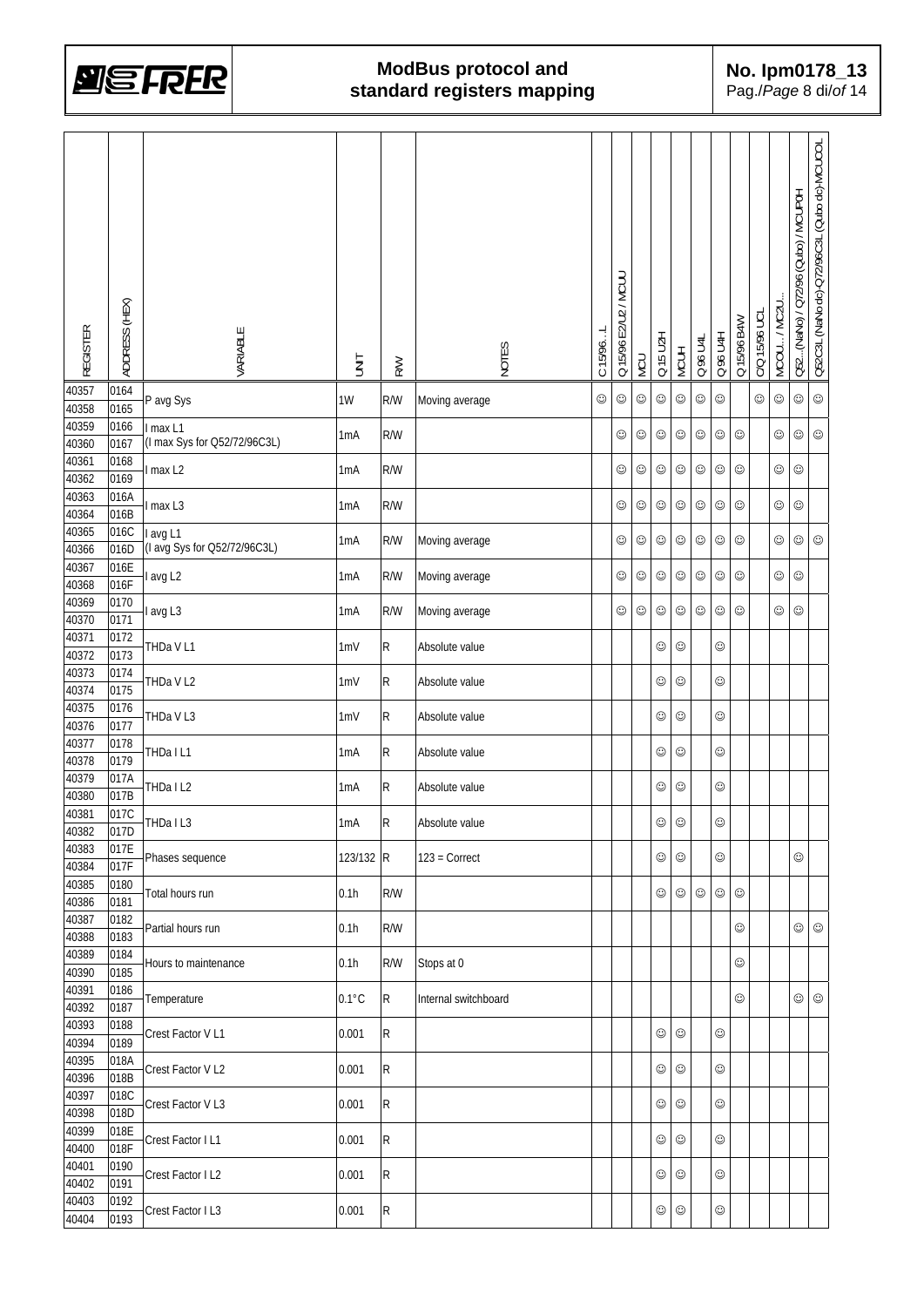

| <b>REGISTER</b> | ADDRESS (HEX)             | VARIABLE                     | <b>TINU</b>      | <b>RW</b>    | NOTES                | C 15/96 | Q 15/96 E2/U2 / MCUU | <b>NCU</b> | Q 15 U2H   | <b>MCUH</b> | 0 % U4L    | Q 96 U4H   | Q 15/96 B4W | C/Q 15/96 UCL | MCOU/MC2U  | Q52(NaNo) / Q72/96 (Qubo) / MCUP0H | Q52C3L (NaNo dc)-Q72/96C3L (Qubo dc)-MCUCOL |
|-----------------|---------------------------|------------------------------|------------------|--------------|----------------------|---------|----------------------|------------|------------|-------------|------------|------------|-------------|---------------|------------|------------------------------------|---------------------------------------------|
| 40357<br>40358  | 0164<br>0165              | P avg Sys                    | $1W$             | R/W          | Moving average       | ☺       | ☺                    | $_{\odot}$ | ☺          | ☺           | $\odot$    | $\odot$    |             | $\odot$       | $\odot$    | $_{\odot}$                         | $_{\odot}$                                  |
| 40359           | 0166                      | I max L1                     |                  |              |                      |         |                      |            |            |             |            |            |             |               |            |                                    |                                             |
| 40360           | 0167                      | (I max Sys for Q52/72/96C3L) | 1 <sub>m</sub> A | R/W          |                      |         | ☺                    | $_{\odot}$ | $\odot$    | ☺           | $\odot$    | $\odot$    | $\odot$     |               | ☺          | $\odot$                            | $_{\odot}$                                  |
| 40361           | 0168                      | I max L2                     | 1 <sub>m</sub> A | R/W          |                      |         | ☺                    | $_{\odot}$ | ☺          | ☺           | $_{\odot}$ | ☺          | ☺           |               | $_{\odot}$ | $_{\odot}$                         |                                             |
| 40362<br>40363  | 0169<br>016A              |                              |                  |              |                      |         |                      |            |            |             |            |            |             |               |            |                                    |                                             |
| 40364           | 016B                      | I max L3                     | 1 <sub>m</sub> A | R/W          |                      |         | ☺                    | $_{\odot}$ | $\odot$    | $_{\odot}$  | $_{\odot}$ | $\odot$    | $\odot$     |               | $\odot$    | $_{\odot}$                         |                                             |
| 40365           | 016C                      | I avg L1                     |                  | R/W          |                      |         | ☺                    | $_{\odot}$ | $\odot$    | $_{\odot}$  | $_{\odot}$ | $\odot$    | $_{\odot}$  |               | ☺          | $\odot$                            | $_{\odot}$                                  |
| 40366           | 016D                      | (I avg Sys for Q52/72/96C3L) | 1mA              |              | Moving average       |         |                      |            |            |             |            |            |             |               |            |                                    |                                             |
| 40367           | 016E<br>$016\overline{F}$ | avg L <sub>2</sub>           | 1 <sub>m</sub> A | R/W          | Moving average       |         | ☺                    | $_{\odot}$ | $\odot$    | $_{\odot}$  | $\odot$    | $_{\odot}$ | $\odot$     |               | $_{\odot}$ | $\odot$                            |                                             |
| 40368<br>40369  | 0170                      |                              |                  |              |                      |         |                      |            |            |             |            |            |             |               |            |                                    |                                             |
| 40370           | 0171                      | avg L3                       | 1 <sub>m</sub> A | R/W          | Moving average       |         | $_{\odot}$           | $_{\odot}$ | $\odot$    | ☺           | $\odot$    | ☺          | ☺           |               | $_{\odot}$ | $\odot$                            |                                             |
| 40371           | 0172                      | THDa V L1                    | 1mV              | R            | Absolute value       |         |                      |            | $_{\odot}$ | ☺           |            | ☺          |             |               |            |                                    |                                             |
| 40372           | 0173                      |                              |                  |              |                      |         |                      |            |            |             |            |            |             |               |            |                                    |                                             |
| 40373<br>40374  | 0174<br>0175              | THDa V L2                    | 1mV              | $\mathsf{R}$ | Absolute value       |         |                      |            | ☺          | ☺           |            | ☺          |             |               |            |                                    |                                             |
| 40375           | 0176                      |                              |                  |              |                      |         |                      |            |            |             |            |            |             |               |            |                                    |                                             |
| 40376           | 0177                      | THDa V L3                    | 1mV              | $\mathsf{R}$ | Absolute value       |         |                      |            | $\odot$    | ☺           |            | ☺          |             |               |            |                                    |                                             |
| 40377           | 0178                      | THDa I L1                    | 1 <sub>m</sub> A | R            | Absolute value       |         |                      |            | ☺          | $\odot$     |            | ☺          |             |               |            |                                    |                                             |
| 40378<br>40379  | 0179<br>017A              |                              |                  |              |                      |         |                      |            |            |             |            |            |             |               |            |                                    |                                             |
| 40380           | 017B                      | THDa I L2                    | 1 <sub>m</sub> A | R            | Absolute value       |         |                      |            | ☺          | ☺           |            | ☺          |             |               |            |                                    |                                             |
| 40381           | 017C                      | THDa I L3                    | 1 <sub>m</sub> A | R            | Absolute value       |         |                      |            | $\odot$    | $_{\odot}$  |            | $_{\odot}$ |             |               |            |                                    |                                             |
| 40382           | 017D                      |                              |                  |              |                      |         |                      |            |            |             |            |            |             |               |            |                                    |                                             |
| 40383<br>40384  | 017E<br>017F              | Phases sequence              | 123/132 R        |              | $123 = Correct$      |         |                      |            | ☺          | ☺           |            | ☺          |             |               |            | ☺                                  |                                             |
| 40385           | 0180                      |                              |                  |              |                      |         |                      |            |            |             |            |            |             |               |            |                                    |                                             |
| 40386           | 0181                      | Total hours run              | 0.1h             | R/W          |                      |         |                      |            | ☺          | $\odot$     | $\odot$    | ☺          | $_{\odot}$  |               |            |                                    |                                             |
| 40387           | 0182                      | Partial hours run            | 0.1h             | R/W          |                      |         |                      |            |            |             |            |            | ☺           |               |            | $\odot$                            | $_{\odot}$                                  |
| 40388<br>40389  | 0183<br>0184              |                              |                  |              |                      |         |                      |            |            |             |            |            |             |               |            |                                    |                                             |
| 40390           | 0185                      | Hours to maintenance         | 0.1h             | R/W          | Stops at 0           |         |                      |            |            |             |            |            | ☺           |               |            |                                    |                                             |
| 40391           | 0186                      | Temperature                  | $0.1^{\circ}$ C  | ${\sf R}$    | Internal switchboard |         |                      |            |            |             |            |            | ☺           |               |            | $\odot$                            | $_{\odot}$                                  |
| 40392           | 0187                      |                              |                  |              |                      |         |                      |            |            |             |            |            |             |               |            |                                    |                                             |
| 40393<br>40394  | 0188<br>0189              | Crest Factor V L1            | 0.001            | ${\sf R}$    |                      |         |                      |            | $\odot$    | $\odot$     |            | ☺          |             |               |            |                                    |                                             |
| 40395           | 018A                      |                              |                  |              |                      |         |                      |            |            |             |            |            |             |               |            |                                    |                                             |
| 40396           | 018B                      | Crest Factor V L2            | 0.001            | $\mathsf{R}$ |                      |         |                      |            | ☺          | $_{\odot}$  |            | ☺          |             |               |            |                                    |                                             |
| 40397           | 018C                      | Crest Factor V L3            | 0.001            | $\mathsf{R}$ |                      |         |                      |            | $_{\odot}$ | $_{\odot}$  |            | ☺          |             |               |            |                                    |                                             |
| 40398           | 018D                      |                              |                  |              |                      |         |                      |            |            |             |            |            |             |               |            |                                    |                                             |
| 40399<br>40400  | 018E<br>018F              | Crest Factor I L1            | 0.001            | $\mathsf{R}$ |                      |         |                      |            | $_{\odot}$ | $_{\odot}$  |            | ☺          |             |               |            |                                    |                                             |
| 40401           | 0190                      |                              |                  |              |                      |         |                      |            |            |             |            |            |             |               |            |                                    |                                             |
| 40402           | 0191                      | Crest Factor I L2            | 0.001            | ${\sf R}$    |                      |         |                      |            | $_{\odot}$ | $_{\odot}$  |            | ☺          |             |               |            |                                    |                                             |
| 40403           | 0192                      | Crest Factor I L3            | 0.001            | $\mathsf{R}$ |                      |         |                      |            | $_{\odot}$ | $_{\odot}$  |            | $_{\odot}$ |             |               |            |                                    |                                             |
| 40404           | 0193                      |                              |                  |              |                      |         |                      |            |            |             |            |            |             |               |            |                                    |                                             |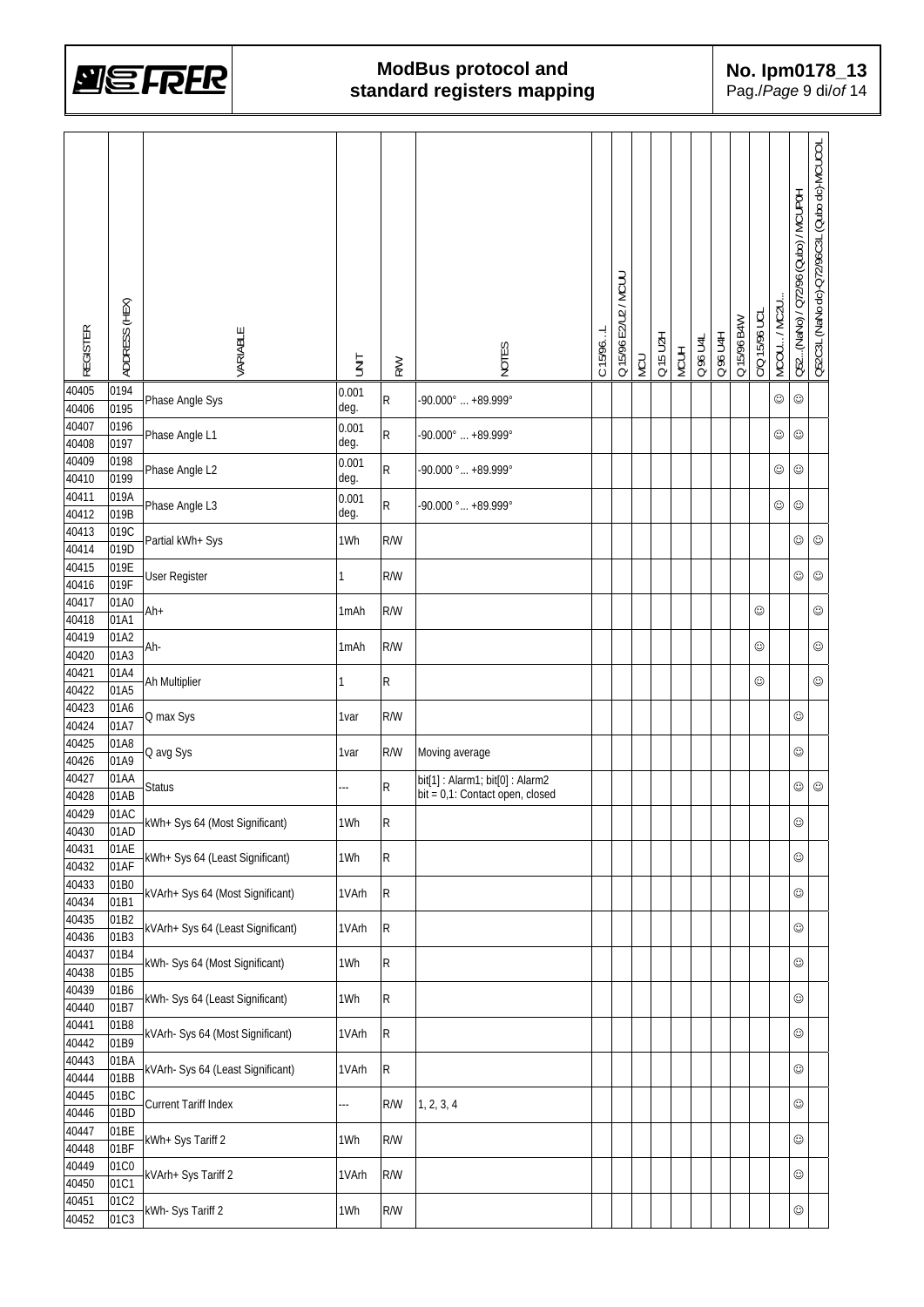

| <b>REGISTER</b> | ADDRESS (HEX) | VARIABLE                          | <b>SINT</b>   | <b>R/W</b> | NOTES                                                             | C 15/96. | Q 15/96 E2/U2 / MCUU | NCU | Q 15 U2H | <b>MCUH</b> | Q 96 U4L | Q 96 U4H | Q 15/96 B4W | C/Q 15/96 UCL | MCOU / MC2U | Q52(NaNo) / Q72/96 (Qubo) / MCUP0H | Q52C3L (NaNo dc)-Q72/96C3L (Qubo dc)-MCUCOL |
|-----------------|---------------|-----------------------------------|---------------|------------|-------------------------------------------------------------------|----------|----------------------|-----|----------|-------------|----------|----------|-------------|---------------|-------------|------------------------------------|---------------------------------------------|
| 40405<br>40406  | 0194<br>0195  | Phase Angle Sys                   | 0.001<br>deg. | R          | $-90.000^{\circ}$ $+89.999^{\circ}$                               |          |                      |     |          |             |          |          |             |               | ☺           | ☺                                  |                                             |
| 40407<br>40408  | 0196<br>0197  | Phase Angle L1                    | 0.001<br>deg. | R          | $-90.000^{\circ}$ $+89.999^{\circ}$                               |          |                      |     |          |             |          |          |             |               | ☺           | ☺                                  |                                             |
| 40409<br>40410  | 0198<br>0199  | Phase Angle L2                    | 0.001<br>deg. | R          | -90.000 ° +89.999 °                                               |          |                      |     |          |             |          |          |             |               | ☺           | ☺                                  |                                             |
| 40411           | 019A          | Phase Angle L3                    | 0.001         | R          | -90.000 $^{\circ}$ +89.999 $^{\circ}$                             |          |                      |     |          |             |          |          |             |               | ☺           | ☺                                  |                                             |
| 40412<br>40413  | 019B<br>019C  | Partial kWh+ Sys                  | deg.<br>1Wh   | R/W        |                                                                   |          |                      |     |          |             |          |          |             |               |             | ☺                                  | $_{\odot}$                                  |
| 40414<br>40415  | 019D<br>019E  | <b>User Register</b>              | 1             | R/W        |                                                                   |          |                      |     |          |             |          |          |             |               |             | $_{\odot}$                         | ☺                                           |
| 40416<br>40417  | 019F<br>01A0  |                                   |               |            |                                                                   |          |                      |     |          |             |          |          |             |               |             |                                    |                                             |
| 40418<br>40419  | 01A1<br>01A2  | Ah+                               | 1mAh          | R/W        |                                                                   |          |                      |     |          |             |          |          |             | ☺             |             |                                    | ☺                                           |
| 40420           | 01A3          | Ah-                               | 1mAh          | R/W        |                                                                   |          |                      |     |          |             |          |          |             | ☺             |             |                                    | ☺                                           |
| 40421<br>40422  | 01A4<br>01A5  | Ah Multiplier                     |               | R          |                                                                   |          |                      |     |          |             |          |          |             | ☺             |             |                                    | ☺                                           |
| 40423<br>40424  | 01A6<br>01A7  | Q max Sys                         | 1var          | R/W        |                                                                   |          |                      |     |          |             |          |          |             |               |             | ☺                                  |                                             |
| 40425<br>40426  | 01A8<br>01A9  | Q avg Sys                         | 1var          | R/W        | Moving average                                                    |          |                      |     |          |             |          |          |             |               |             | ☺                                  |                                             |
| 40427<br>40428  | 01AA<br>01AB  | <b>Status</b>                     |               | R          | bit[1]: Alarm1; bit[0]: Alarm2<br>bit = 0,1: Contact open, closed |          |                      |     |          |             |          |          |             |               |             | ☺                                  | ☺                                           |
| 40429           | 01AC<br>01AD  | kWh+ Sys 64 (Most Significant)    | 1Wh           | R          |                                                                   |          |                      |     |          |             |          |          |             |               |             | $\odot$                            |                                             |
| 40430<br>40431  | 01AE          | kWh+ Sys 64 (Least Significant)   | 1Wh           | R          |                                                                   |          |                      |     |          |             |          |          |             |               |             | $_{\odot}$                         |                                             |
| 40432<br>40433  | 01AF<br>01B0  | kVArh+ Sys 64 (Most Significant)  | 1VArh         | ${\sf R}$  |                                                                   |          |                      |     |          |             |          |          |             |               |             | $_{\odot}$                         |                                             |
| 40434<br>40435  | 01B1<br>01B2  |                                   |               |            |                                                                   |          |                      |     |          |             |          |          |             |               |             |                                    |                                             |
| 40436<br>40437  | 01B3<br>01B4  | kVArh+ Sys 64 (Least Significant) | 1VArh         | ${\sf R}$  |                                                                   |          |                      |     |          |             |          |          |             |               |             | ☺                                  |                                             |
| 40438           | 01B5          | kWh- Sys 64 (Most Significant)    | 1Wh           | R          |                                                                   |          |                      |     |          |             |          |          |             |               |             | ☺                                  |                                             |
| 40439<br>40440  | 01B6<br>01B7  | kWh- Sys 64 (Least Significant)   | 1Wh           | R          |                                                                   |          |                      |     |          |             |          |          |             |               |             | ☺                                  |                                             |
| 40441<br>40442  | 01B8<br>01B9  | kVArh- Sys 64 (Most Significant)  | 1VArh         | ${\sf R}$  |                                                                   |          |                      |     |          |             |          |          |             |               |             | ☺                                  |                                             |
| 40443<br>40444  | 01BA<br>01BB  | kVArh- Sys 64 (Least Significant) | 1VArh         | ${\sf R}$  |                                                                   |          |                      |     |          |             |          |          |             |               |             | $_{\odot}$                         |                                             |
| 40445<br>40446  | 01BC<br>01BD  | Current Tariff Index              |               | R/W        | 1, 2, 3, 4                                                        |          |                      |     |          |             |          |          |             |               |             | $_{\odot}$                         |                                             |
| 40447           | 01BE          | kWh+ Sys Tariff 2                 | 1Wh           | R/W        |                                                                   |          |                      |     |          |             |          |          |             |               |             | $\odot$                            |                                             |
| 40448<br>40449  | 01BF<br>01C0  | kVArh+ Sys Tariff 2               | 1VArh         | R/W        |                                                                   |          |                      |     |          |             |          |          |             |               |             | ☺                                  |                                             |
| 40450<br>40451  | 01C1<br>01C2  |                                   |               |            |                                                                   |          |                      |     |          |             |          |          |             |               |             |                                    |                                             |
| 40452           | 01C3          | kWh- Sys Tariff 2                 | 1Wh           | R/W        |                                                                   |          |                      |     |          |             |          |          |             |               |             | ☺                                  |                                             |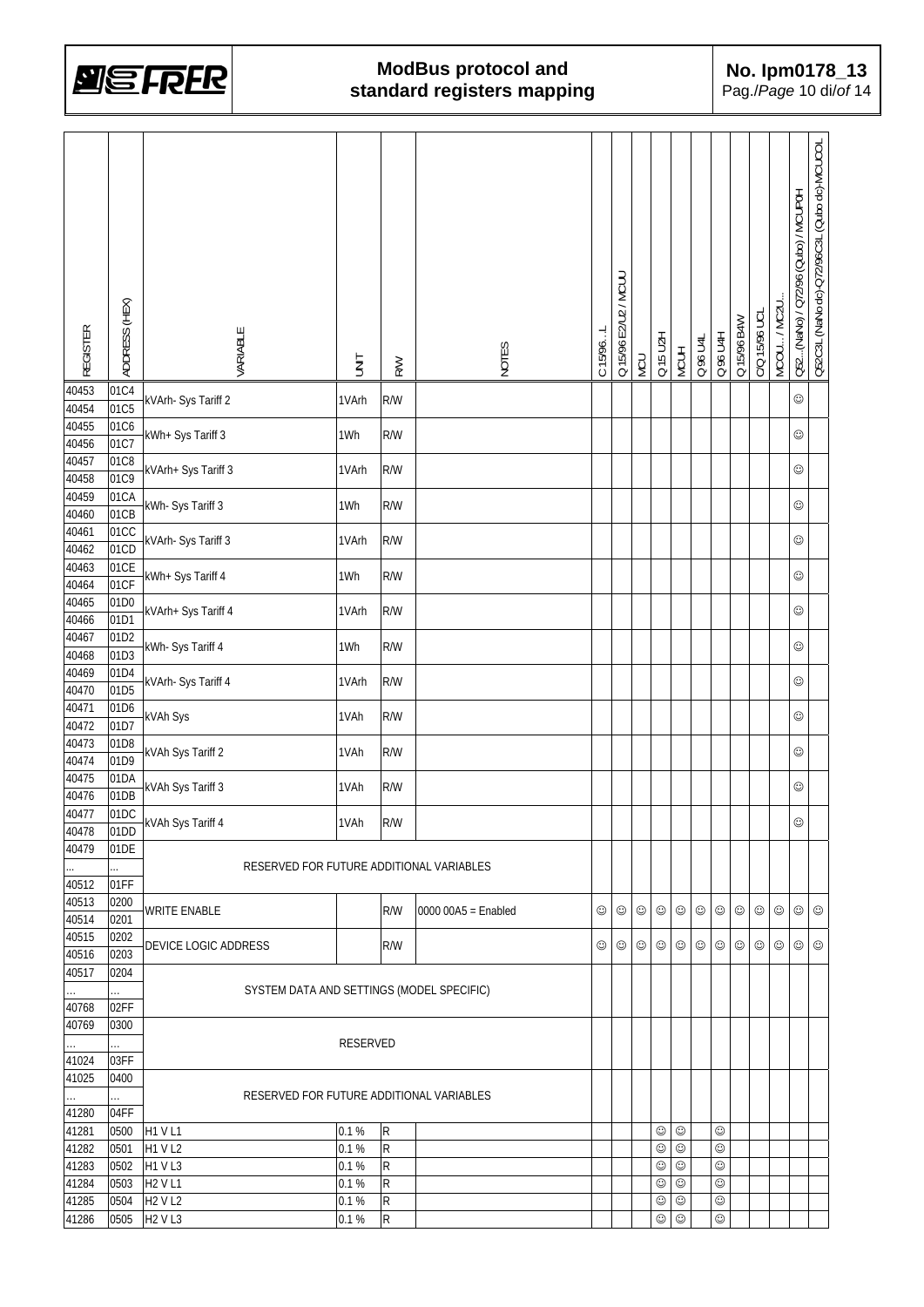

| 40453<br>01C4<br>$\odot$<br>kVArh- Sys Tariff 2<br>R/W<br>1VArh<br>01C5<br>40454<br>40455<br>01C6<br>kWh+ Sys Tariff 3<br>R/W<br>$\odot$<br>1Wh<br>01C7<br>40456<br>40457<br>01C8<br>kVArh+ Sys Tariff 3<br>1VArh<br>R/W<br>☺<br>01C9<br>40458<br>01CA<br>40459<br>kWh- Sys Tariff 3<br>R/W<br>$_{\odot}$<br>1Wh<br>01CB<br>40460<br>40461<br>01CC<br>kVArh- Sys Tariff 3<br>1VArh<br>R/W<br>$\odot$<br>01CD<br>40462<br>40463<br>01CE<br>kWh+ Sys Tariff 4<br>$_{\odot}$<br>1Wh<br>R/W<br>01CF<br>40464<br>40465<br>01D0<br>kVArh+ Sys Tariff 4<br>1VArh<br>R/W<br>$\odot$<br>01D1<br>40466<br>40467<br>01D2<br>kWh- Sys Tariff 4<br>1Wh<br>R/W<br>$\odot$<br>01D3<br>40468<br>01D4<br>40469<br>kVArh- Sys Tariff 4<br>R/W<br>$\odot$<br>1VArh<br>01D5<br>40470<br>40471<br>01D6<br>kVAh Sys<br>1VAh<br>R/W<br>$\odot$<br>01D7<br>40472<br>40473<br>01D8<br>kVAh Sys Tariff 2<br>R/W<br>1VAh<br>☺<br>01D9<br>40474<br>40475<br>01DA<br>kVAh Sys Tariff 3<br>1VAh<br>R/W<br>☺<br>01DB<br>40476<br>01DC<br>40477<br><b>KVAh Sys Tariff 4</b><br>1VAh<br>R/W<br>$_{\odot}$<br>01DD<br>40478<br>40479<br>01DE<br>RESERVED FOR FUTURE ADDITIONAL VARIABLES<br>01FF<br>40512<br>40513<br>0200<br>WRITE ENABLE<br>R/W<br>$0000000A5 =$ Enabled<br>☺<br>☺<br>☺<br>☺<br>☺<br>☺<br>☺<br>☺<br>☺<br>☺<br>☺<br>☺<br>0201<br>40514<br>40515<br>0202<br>☺<br>☺<br>☺<br>$\odot$<br>DEVICE LOGIC ADDRESS<br>R/W<br>☺<br>☺<br>☺<br>☺<br>☺<br>☺<br>☺<br>☺<br>0203<br>40516<br>40517<br>0204<br>SYSTEM DATA AND SETTINGS (MODEL SPECIFIC)<br>.<br>02FF<br>40768<br>40769<br>0300<br>RESERVED<br>.<br>.<br>41024<br>03FF<br>41025<br>0400<br>RESERVED FOR FUTURE ADDITIONAL VARIABLES<br>.<br>.<br>41280<br>04FF<br><b>H1 VL1</b><br>0.1%<br>${\sf R}$<br>$_{\odot}$<br>☺<br>41281<br>0500<br>☺<br>${\sf R}$<br>$_{\odot}$<br>$_{\odot}$<br>☺<br><b>H1 V L2</b><br>0.1 %<br>41282<br>0501<br>H1 V L3<br>0.1 %<br>${\sf R}$<br>$_{\odot}$<br>☺<br>41283<br>0502<br>☺<br>$\odot$<br>41284<br>0503<br>0.1%<br>${\sf R}$<br>$_{\odot}$<br>$_{\odot}$<br><b>H2 V L1</b><br>41285<br>0504<br><b>H2 V L2</b><br>0.1%<br>${\sf R}$<br>$_{\odot}$<br>$_{\odot}$<br>☺<br>${\sf R}$<br>$\odot$<br>0505<br><b>H2 V L3</b><br>0.1%<br>☺<br>41286<br>☺ | <b>REGISTER</b> | ADDRESS (HEX) | VARIABLE | <b>SINT</b> | <b>R/W</b> | NOTES | C 15/96L | Q 15/96 E2/U2 / MCUU | NCU | Q 15 U2H | <b>MCUH</b> | Q 96 U4L | Q 96 U4H | Q 15/96 B4W | C/Q 15/96 UCL | MCOU / MC2U | Q52(NaNo) / Q72/96 (Qubo) / MCUP0H | Q52C3L (NaNo dc)-Q72/96C3L (Qubo dc)-MCUCOL |
|----------------------------------------------------------------------------------------------------------------------------------------------------------------------------------------------------------------------------------------------------------------------------------------------------------------------------------------------------------------------------------------------------------------------------------------------------------------------------------------------------------------------------------------------------------------------------------------------------------------------------------------------------------------------------------------------------------------------------------------------------------------------------------------------------------------------------------------------------------------------------------------------------------------------------------------------------------------------------------------------------------------------------------------------------------------------------------------------------------------------------------------------------------------------------------------------------------------------------------------------------------------------------------------------------------------------------------------------------------------------------------------------------------------------------------------------------------------------------------------------------------------------------------------------------------------------------------------------------------------------------------------------------------------------------------------------------------------------------------------------------------------------------------------------------------------------------------------------------------------------------------------------------------------------------------------------------------------------------------------------------------------------------------------------------------------------------------------------------------------------------------------------------------------------------------------------------------------------|-----------------|---------------|----------|-------------|------------|-------|----------|----------------------|-----|----------|-------------|----------|----------|-------------|---------------|-------------|------------------------------------|---------------------------------------------|
|                                                                                                                                                                                                                                                                                                                                                                                                                                                                                                                                                                                                                                                                                                                                                                                                                                                                                                                                                                                                                                                                                                                                                                                                                                                                                                                                                                                                                                                                                                                                                                                                                                                                                                                                                                                                                                                                                                                                                                                                                                                                                                                                                                                                                      |                 |               |          |             |            |       |          |                      |     |          |             |          |          |             |               |             |                                    |                                             |
|                                                                                                                                                                                                                                                                                                                                                                                                                                                                                                                                                                                                                                                                                                                                                                                                                                                                                                                                                                                                                                                                                                                                                                                                                                                                                                                                                                                                                                                                                                                                                                                                                                                                                                                                                                                                                                                                                                                                                                                                                                                                                                                                                                                                                      |                 |               |          |             |            |       |          |                      |     |          |             |          |          |             |               |             |                                    |                                             |
|                                                                                                                                                                                                                                                                                                                                                                                                                                                                                                                                                                                                                                                                                                                                                                                                                                                                                                                                                                                                                                                                                                                                                                                                                                                                                                                                                                                                                                                                                                                                                                                                                                                                                                                                                                                                                                                                                                                                                                                                                                                                                                                                                                                                                      |                 |               |          |             |            |       |          |                      |     |          |             |          |          |             |               |             |                                    |                                             |
|                                                                                                                                                                                                                                                                                                                                                                                                                                                                                                                                                                                                                                                                                                                                                                                                                                                                                                                                                                                                                                                                                                                                                                                                                                                                                                                                                                                                                                                                                                                                                                                                                                                                                                                                                                                                                                                                                                                                                                                                                                                                                                                                                                                                                      |                 |               |          |             |            |       |          |                      |     |          |             |          |          |             |               |             |                                    |                                             |
|                                                                                                                                                                                                                                                                                                                                                                                                                                                                                                                                                                                                                                                                                                                                                                                                                                                                                                                                                                                                                                                                                                                                                                                                                                                                                                                                                                                                                                                                                                                                                                                                                                                                                                                                                                                                                                                                                                                                                                                                                                                                                                                                                                                                                      |                 |               |          |             |            |       |          |                      |     |          |             |          |          |             |               |             |                                    |                                             |
|                                                                                                                                                                                                                                                                                                                                                                                                                                                                                                                                                                                                                                                                                                                                                                                                                                                                                                                                                                                                                                                                                                                                                                                                                                                                                                                                                                                                                                                                                                                                                                                                                                                                                                                                                                                                                                                                                                                                                                                                                                                                                                                                                                                                                      |                 |               |          |             |            |       |          |                      |     |          |             |          |          |             |               |             |                                    |                                             |
|                                                                                                                                                                                                                                                                                                                                                                                                                                                                                                                                                                                                                                                                                                                                                                                                                                                                                                                                                                                                                                                                                                                                                                                                                                                                                                                                                                                                                                                                                                                                                                                                                                                                                                                                                                                                                                                                                                                                                                                                                                                                                                                                                                                                                      |                 |               |          |             |            |       |          |                      |     |          |             |          |          |             |               |             |                                    |                                             |
|                                                                                                                                                                                                                                                                                                                                                                                                                                                                                                                                                                                                                                                                                                                                                                                                                                                                                                                                                                                                                                                                                                                                                                                                                                                                                                                                                                                                                                                                                                                                                                                                                                                                                                                                                                                                                                                                                                                                                                                                                                                                                                                                                                                                                      |                 |               |          |             |            |       |          |                      |     |          |             |          |          |             |               |             |                                    |                                             |
|                                                                                                                                                                                                                                                                                                                                                                                                                                                                                                                                                                                                                                                                                                                                                                                                                                                                                                                                                                                                                                                                                                                                                                                                                                                                                                                                                                                                                                                                                                                                                                                                                                                                                                                                                                                                                                                                                                                                                                                                                                                                                                                                                                                                                      |                 |               |          |             |            |       |          |                      |     |          |             |          |          |             |               |             |                                    |                                             |
|                                                                                                                                                                                                                                                                                                                                                                                                                                                                                                                                                                                                                                                                                                                                                                                                                                                                                                                                                                                                                                                                                                                                                                                                                                                                                                                                                                                                                                                                                                                                                                                                                                                                                                                                                                                                                                                                                                                                                                                                                                                                                                                                                                                                                      |                 |               |          |             |            |       |          |                      |     |          |             |          |          |             |               |             |                                    |                                             |
|                                                                                                                                                                                                                                                                                                                                                                                                                                                                                                                                                                                                                                                                                                                                                                                                                                                                                                                                                                                                                                                                                                                                                                                                                                                                                                                                                                                                                                                                                                                                                                                                                                                                                                                                                                                                                                                                                                                                                                                                                                                                                                                                                                                                                      |                 |               |          |             |            |       |          |                      |     |          |             |          |          |             |               |             |                                    |                                             |
|                                                                                                                                                                                                                                                                                                                                                                                                                                                                                                                                                                                                                                                                                                                                                                                                                                                                                                                                                                                                                                                                                                                                                                                                                                                                                                                                                                                                                                                                                                                                                                                                                                                                                                                                                                                                                                                                                                                                                                                                                                                                                                                                                                                                                      |                 |               |          |             |            |       |          |                      |     |          |             |          |          |             |               |             |                                    |                                             |
|                                                                                                                                                                                                                                                                                                                                                                                                                                                                                                                                                                                                                                                                                                                                                                                                                                                                                                                                                                                                                                                                                                                                                                                                                                                                                                                                                                                                                                                                                                                                                                                                                                                                                                                                                                                                                                                                                                                                                                                                                                                                                                                                                                                                                      |                 |               |          |             |            |       |          |                      |     |          |             |          |          |             |               |             |                                    |                                             |
|                                                                                                                                                                                                                                                                                                                                                                                                                                                                                                                                                                                                                                                                                                                                                                                                                                                                                                                                                                                                                                                                                                                                                                                                                                                                                                                                                                                                                                                                                                                                                                                                                                                                                                                                                                                                                                                                                                                                                                                                                                                                                                                                                                                                                      |                 |               |          |             |            |       |          |                      |     |          |             |          |          |             |               |             |                                    |                                             |
|                                                                                                                                                                                                                                                                                                                                                                                                                                                                                                                                                                                                                                                                                                                                                                                                                                                                                                                                                                                                                                                                                                                                                                                                                                                                                                                                                                                                                                                                                                                                                                                                                                                                                                                                                                                                                                                                                                                                                                                                                                                                                                                                                                                                                      |                 |               |          |             |            |       |          |                      |     |          |             |          |          |             |               |             |                                    |                                             |
|                                                                                                                                                                                                                                                                                                                                                                                                                                                                                                                                                                                                                                                                                                                                                                                                                                                                                                                                                                                                                                                                                                                                                                                                                                                                                                                                                                                                                                                                                                                                                                                                                                                                                                                                                                                                                                                                                                                                                                                                                                                                                                                                                                                                                      |                 |               |          |             |            |       |          |                      |     |          |             |          |          |             |               |             |                                    |                                             |
|                                                                                                                                                                                                                                                                                                                                                                                                                                                                                                                                                                                                                                                                                                                                                                                                                                                                                                                                                                                                                                                                                                                                                                                                                                                                                                                                                                                                                                                                                                                                                                                                                                                                                                                                                                                                                                                                                                                                                                                                                                                                                                                                                                                                                      |                 |               |          |             |            |       |          |                      |     |          |             |          |          |             |               |             |                                    |                                             |
|                                                                                                                                                                                                                                                                                                                                                                                                                                                                                                                                                                                                                                                                                                                                                                                                                                                                                                                                                                                                                                                                                                                                                                                                                                                                                                                                                                                                                                                                                                                                                                                                                                                                                                                                                                                                                                                                                                                                                                                                                                                                                                                                                                                                                      |                 |               |          |             |            |       |          |                      |     |          |             |          |          |             |               |             |                                    |                                             |
|                                                                                                                                                                                                                                                                                                                                                                                                                                                                                                                                                                                                                                                                                                                                                                                                                                                                                                                                                                                                                                                                                                                                                                                                                                                                                                                                                                                                                                                                                                                                                                                                                                                                                                                                                                                                                                                                                                                                                                                                                                                                                                                                                                                                                      |                 |               |          |             |            |       |          |                      |     |          |             |          |          |             |               |             |                                    |                                             |
|                                                                                                                                                                                                                                                                                                                                                                                                                                                                                                                                                                                                                                                                                                                                                                                                                                                                                                                                                                                                                                                                                                                                                                                                                                                                                                                                                                                                                                                                                                                                                                                                                                                                                                                                                                                                                                                                                                                                                                                                                                                                                                                                                                                                                      |                 |               |          |             |            |       |          |                      |     |          |             |          |          |             |               |             |                                    |                                             |
|                                                                                                                                                                                                                                                                                                                                                                                                                                                                                                                                                                                                                                                                                                                                                                                                                                                                                                                                                                                                                                                                                                                                                                                                                                                                                                                                                                                                                                                                                                                                                                                                                                                                                                                                                                                                                                                                                                                                                                                                                                                                                                                                                                                                                      |                 |               |          |             |            |       |          |                      |     |          |             |          |          |             |               |             |                                    |                                             |
|                                                                                                                                                                                                                                                                                                                                                                                                                                                                                                                                                                                                                                                                                                                                                                                                                                                                                                                                                                                                                                                                                                                                                                                                                                                                                                                                                                                                                                                                                                                                                                                                                                                                                                                                                                                                                                                                                                                                                                                                                                                                                                                                                                                                                      |                 |               |          |             |            |       |          |                      |     |          |             |          |          |             |               |             |                                    |                                             |
|                                                                                                                                                                                                                                                                                                                                                                                                                                                                                                                                                                                                                                                                                                                                                                                                                                                                                                                                                                                                                                                                                                                                                                                                                                                                                                                                                                                                                                                                                                                                                                                                                                                                                                                                                                                                                                                                                                                                                                                                                                                                                                                                                                                                                      |                 |               |          |             |            |       |          |                      |     |          |             |          |          |             |               |             |                                    |                                             |
|                                                                                                                                                                                                                                                                                                                                                                                                                                                                                                                                                                                                                                                                                                                                                                                                                                                                                                                                                                                                                                                                                                                                                                                                                                                                                                                                                                                                                                                                                                                                                                                                                                                                                                                                                                                                                                                                                                                                                                                                                                                                                                                                                                                                                      |                 |               |          |             |            |       |          |                      |     |          |             |          |          |             |               |             |                                    |                                             |
|                                                                                                                                                                                                                                                                                                                                                                                                                                                                                                                                                                                                                                                                                                                                                                                                                                                                                                                                                                                                                                                                                                                                                                                                                                                                                                                                                                                                                                                                                                                                                                                                                                                                                                                                                                                                                                                                                                                                                                                                                                                                                                                                                                                                                      |                 |               |          |             |            |       |          |                      |     |          |             |          |          |             |               |             |                                    |                                             |
|                                                                                                                                                                                                                                                                                                                                                                                                                                                                                                                                                                                                                                                                                                                                                                                                                                                                                                                                                                                                                                                                                                                                                                                                                                                                                                                                                                                                                                                                                                                                                                                                                                                                                                                                                                                                                                                                                                                                                                                                                                                                                                                                                                                                                      |                 |               |          |             |            |       |          |                      |     |          |             |          |          |             |               |             |                                    |                                             |
|                                                                                                                                                                                                                                                                                                                                                                                                                                                                                                                                                                                                                                                                                                                                                                                                                                                                                                                                                                                                                                                                                                                                                                                                                                                                                                                                                                                                                                                                                                                                                                                                                                                                                                                                                                                                                                                                                                                                                                                                                                                                                                                                                                                                                      |                 |               |          |             |            |       |          |                      |     |          |             |          |          |             |               |             |                                    |                                             |
|                                                                                                                                                                                                                                                                                                                                                                                                                                                                                                                                                                                                                                                                                                                                                                                                                                                                                                                                                                                                                                                                                                                                                                                                                                                                                                                                                                                                                                                                                                                                                                                                                                                                                                                                                                                                                                                                                                                                                                                                                                                                                                                                                                                                                      |                 |               |          |             |            |       |          |                      |     |          |             |          |          |             |               |             |                                    |                                             |
|                                                                                                                                                                                                                                                                                                                                                                                                                                                                                                                                                                                                                                                                                                                                                                                                                                                                                                                                                                                                                                                                                                                                                                                                                                                                                                                                                                                                                                                                                                                                                                                                                                                                                                                                                                                                                                                                                                                                                                                                                                                                                                                                                                                                                      |                 |               |          |             |            |       |          |                      |     |          |             |          |          |             |               |             |                                    |                                             |
|                                                                                                                                                                                                                                                                                                                                                                                                                                                                                                                                                                                                                                                                                                                                                                                                                                                                                                                                                                                                                                                                                                                                                                                                                                                                                                                                                                                                                                                                                                                                                                                                                                                                                                                                                                                                                                                                                                                                                                                                                                                                                                                                                                                                                      |                 |               |          |             |            |       |          |                      |     |          |             |          |          |             |               |             |                                    |                                             |
|                                                                                                                                                                                                                                                                                                                                                                                                                                                                                                                                                                                                                                                                                                                                                                                                                                                                                                                                                                                                                                                                                                                                                                                                                                                                                                                                                                                                                                                                                                                                                                                                                                                                                                                                                                                                                                                                                                                                                                                                                                                                                                                                                                                                                      |                 |               |          |             |            |       |          |                      |     |          |             |          |          |             |               |             |                                    |                                             |
|                                                                                                                                                                                                                                                                                                                                                                                                                                                                                                                                                                                                                                                                                                                                                                                                                                                                                                                                                                                                                                                                                                                                                                                                                                                                                                                                                                                                                                                                                                                                                                                                                                                                                                                                                                                                                                                                                                                                                                                                                                                                                                                                                                                                                      |                 |               |          |             |            |       |          |                      |     |          |             |          |          |             |               |             |                                    |                                             |
|                                                                                                                                                                                                                                                                                                                                                                                                                                                                                                                                                                                                                                                                                                                                                                                                                                                                                                                                                                                                                                                                                                                                                                                                                                                                                                                                                                                                                                                                                                                                                                                                                                                                                                                                                                                                                                                                                                                                                                                                                                                                                                                                                                                                                      |                 |               |          |             |            |       |          |                      |     |          |             |          |          |             |               |             |                                    |                                             |
|                                                                                                                                                                                                                                                                                                                                                                                                                                                                                                                                                                                                                                                                                                                                                                                                                                                                                                                                                                                                                                                                                                                                                                                                                                                                                                                                                                                                                                                                                                                                                                                                                                                                                                                                                                                                                                                                                                                                                                                                                                                                                                                                                                                                                      |                 |               |          |             |            |       |          |                      |     |          |             |          |          |             |               |             |                                    |                                             |
|                                                                                                                                                                                                                                                                                                                                                                                                                                                                                                                                                                                                                                                                                                                                                                                                                                                                                                                                                                                                                                                                                                                                                                                                                                                                                                                                                                                                                                                                                                                                                                                                                                                                                                                                                                                                                                                                                                                                                                                                                                                                                                                                                                                                                      |                 |               |          |             |            |       |          |                      |     |          |             |          |          |             |               |             |                                    |                                             |
|                                                                                                                                                                                                                                                                                                                                                                                                                                                                                                                                                                                                                                                                                                                                                                                                                                                                                                                                                                                                                                                                                                                                                                                                                                                                                                                                                                                                                                                                                                                                                                                                                                                                                                                                                                                                                                                                                                                                                                                                                                                                                                                                                                                                                      |                 |               |          |             |            |       |          |                      |     |          |             |          |          |             |               |             |                                    |                                             |
|                                                                                                                                                                                                                                                                                                                                                                                                                                                                                                                                                                                                                                                                                                                                                                                                                                                                                                                                                                                                                                                                                                                                                                                                                                                                                                                                                                                                                                                                                                                                                                                                                                                                                                                                                                                                                                                                                                                                                                                                                                                                                                                                                                                                                      |                 |               |          |             |            |       |          |                      |     |          |             |          |          |             |               |             |                                    |                                             |
|                                                                                                                                                                                                                                                                                                                                                                                                                                                                                                                                                                                                                                                                                                                                                                                                                                                                                                                                                                                                                                                                                                                                                                                                                                                                                                                                                                                                                                                                                                                                                                                                                                                                                                                                                                                                                                                                                                                                                                                                                                                                                                                                                                                                                      |                 |               |          |             |            |       |          |                      |     |          |             |          |          |             |               |             |                                    |                                             |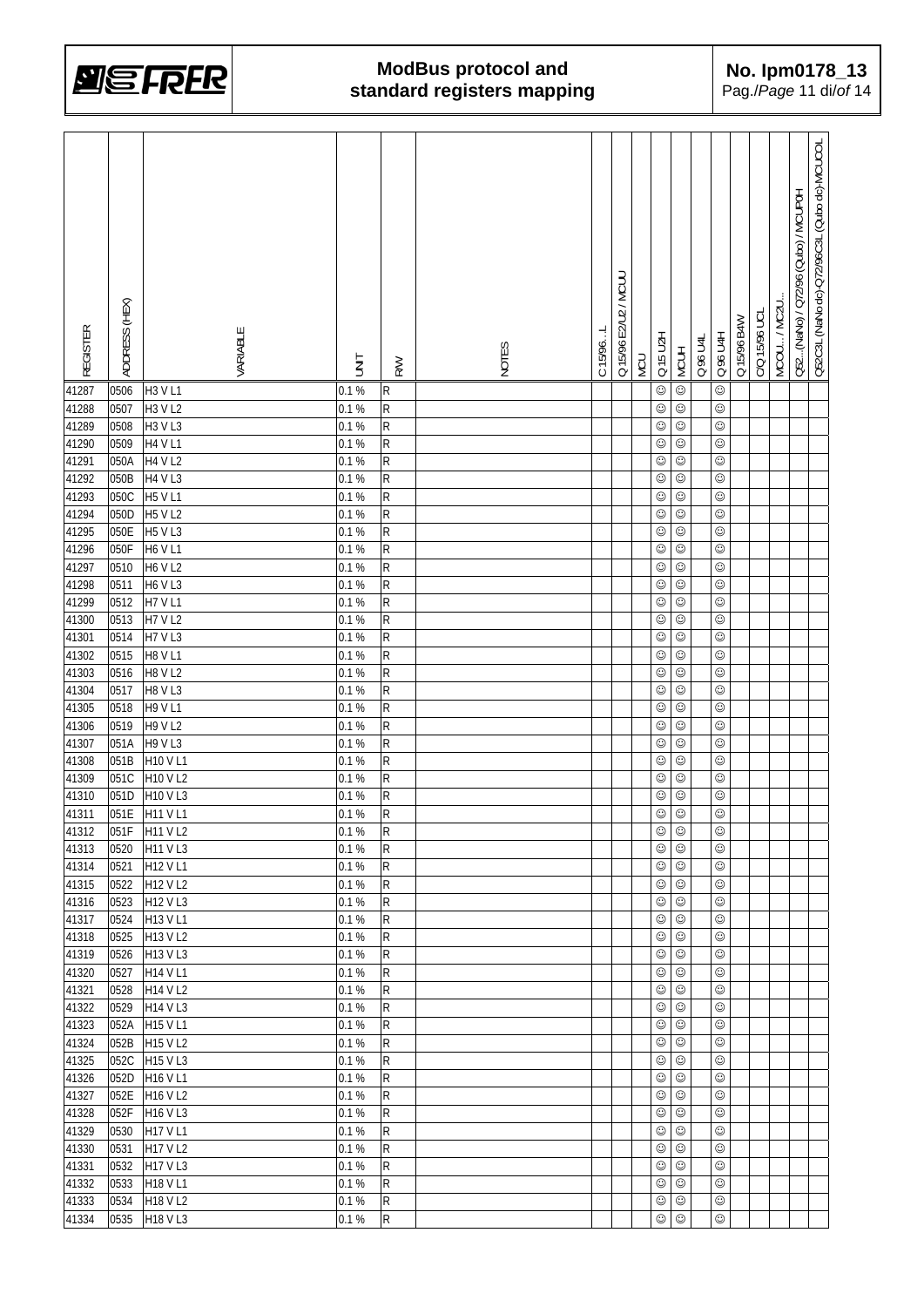

| REGISTER | ADDRESS (HEX) | VARIABLE       | İML   | <b>RW</b>      | NOTES | C 15/96. | Q 15/96 E2/U2 / MCUL | NCU | <b>NZU 15 U2H</b> | <b>MCUH</b> | Q 96 U4L | <b>U 96 U 4H</b> | Q 15/96 B4W | C/Q 15/96 UCL | MCOU / MC2U | Q52(NaNo) / Q72/96 (Qubo) / MCUP0H | Q52C3L (NaNo dc)-Q72/96C3L (Qubo dc)-MCUCOL |
|----------|---------------|----------------|-------|----------------|-------|----------|----------------------|-----|-------------------|-------------|----------|------------------|-------------|---------------|-------------|------------------------------------|---------------------------------------------|
| 41287    | 0506          | H3 V L1        | 0.1%  | R              |       |          |                      |     | $\odot$           | $\odot$     |          | $\odot$          |             |               |             |                                    |                                             |
| 41288    | 0507          | H3 V L2        | 0.1%  | R              |       |          |                      |     | $\odot$           | $_{\odot}$  |          | $_{\odot}$       |             |               |             |                                    |                                             |
| 41289    | 0508          | H3 V L3        | 0.1 % | R              |       |          |                      |     | $_{\odot}$        | $_{\odot}$  |          | $\odot$          |             |               |             |                                    |                                             |
| 41290    | 0509          | <b>H4 V L1</b> | 0.1%  | R              |       |          |                      |     | ☺                 | $\odot$     |          | $_{\odot}$       |             |               |             |                                    |                                             |
| 41291    | 050A          | <b>H4 V L2</b> | 0.1%  | R              |       |          |                      |     | $_{\odot}$        | $_{\odot}$  |          | $_{\odot}$       |             |               |             |                                    |                                             |
| 41292    | 050B          | <b>H4 V L3</b> | 0.1%  | R              |       |          |                      |     | $_{\odot}$        | $_{\odot}$  |          | $_{\odot}$       |             |               |             |                                    |                                             |
| 41293    | 050C          | <b>H5 V L1</b> | 0.1%  | R              |       |          |                      |     | $_{\odot}$        | $_{\odot}$  |          | $_{\odot}$       |             |               |             |                                    |                                             |
| 41294    | 050D          | <b>H5 V L2</b> | 0.1%  | R              |       |          |                      |     | $\odot$           | $\odot$     |          | $_{\odot}$       |             |               |             |                                    |                                             |
| 41295    | 050E          | <b>H5 V L3</b> | 0.1%  | R              |       |          |                      |     | $\odot$           | $_{\odot}$  |          | $_{\odot}$       |             |               |             |                                    |                                             |
| 41296    | 050F          | <b>H6 V L1</b> | 0.1%  | R              |       |          |                      |     | $\odot$           | $_{\odot}$  |          | $_{\odot}$       |             |               |             |                                    |                                             |
| 41297    | 0510          | <b>H6 V L2</b> | 0.1%  | R              |       |          |                      |     | $\odot$           | ☺           |          | $_{\odot}$       |             |               |             |                                    |                                             |
| 41298    | 0511          | H6 V L3        | 0.1 % | R              |       |          |                      |     | $_{\odot}$        | ☺           |          | $_{\odot}$       |             |               |             |                                    |                                             |
| 41299    | 0512          | <b>H7 V L1</b> | 0.1 % | R              |       |          |                      |     | $\odot$           | $\odot$     |          | $\odot$          |             |               |             |                                    |                                             |
| 41300    | 0513          | <b>H7 V L2</b> | 0.1 % | R              |       |          |                      |     | $_{\odot}$        | $_{\odot}$  |          | $_{\odot}$       |             |               |             |                                    |                                             |
| 41301    | 0514          | <b>H7 V L3</b> | 0.1 % | R              |       |          |                      |     | $\odot$           | $_{\odot}$  |          | $_{\odot}$       |             |               |             |                                    |                                             |
| 41302    | 0515          | <b>H8 V L1</b> | 0.1%  | R              |       |          |                      |     | $\odot$           | ☺           |          | $_{\odot}$       |             |               |             |                                    |                                             |
| 41303    | 0516          | <b>H8 V L2</b> | 0.1 % | R              |       |          |                      |     | $\odot$           | $_{\odot}$  |          | $\odot$          |             |               |             |                                    |                                             |
| 41304    | 0517          | <b>H8 V L3</b> | 0.1%  | R              |       |          |                      |     | $\odot$           | $\odot$     |          | $_{\odot}$       |             |               |             |                                    |                                             |
| 41305    | 0518          | <b>H9 V L1</b> | 0.1%  | R              |       |          |                      |     | $_{\odot}$        | $\odot$     |          | $_{\odot}$       |             |               |             |                                    |                                             |
| 41306    | 0519          | H9 V L2        | 0.1 % | R              |       |          |                      |     | $_{\odot}$        | $_{\odot}$  |          | $_{\odot}$       |             |               |             |                                    |                                             |
| 41307    | 051A          | <b>H9 V L3</b> | 0.1%  | R              |       |          |                      |     | $_{\odot}$        | $_{\odot}$  |          | $_{\odot}$       |             |               |             |                                    |                                             |
| 41308    | 051B          | H10 V L1       | 0.1%  | R              |       |          |                      |     | ☺                 | $_{\odot}$  |          | $_{\odot}$       |             |               |             |                                    |                                             |
| 41309    | 051C          | H10 V L2       | 0.1%  | R              |       |          |                      |     | $_{\odot}$        | $\odot$     |          | $_{\odot}$       |             |               |             |                                    |                                             |
| 41310    | 051D          | H10 V L3       | 0.1%  | R              |       |          |                      |     | $\odot$           | $_{\odot}$  |          | $\odot$          |             |               |             |                                    |                                             |
| 41311    | 051E          | H11 V L1       | 0.1%  | R              |       |          |                      |     | $\odot$           | $_{\odot}$  |          | $_{\odot}$       |             |               |             |                                    |                                             |
| 41312    |               | 051F H11 V L2  | 0.1 % | $\overline{R}$ |       |          |                      |     | $\odot$           | $_{\odot}$  |          | $\odot$          |             |               |             |                                    |                                             |
| 41313    | 0520          | H11 V L3       | 0.1%  | $\mathsf{R}$   |       |          |                      |     | ☺                 | $_{\odot}$  |          | ☺                |             |               |             |                                    |                                             |
| 41314    | 0521          | H12 V L1       | 0.1 % | $\mathsf{R}$   |       |          |                      |     | $_{\odot}$        | $_{\odot}$  |          | ☺                |             |               |             |                                    |                                             |
| 41315    | 0522          | H12 V L2       | 0.1%  | ${\sf R}$      |       |          |                      |     | $_{\odot}$        | $_{\odot}$  |          | ☺                |             |               |             |                                    |                                             |
| 41316    | 0523          | H12 V L3       | 0.1%  | R              |       |          |                      |     | ☺                 | $_{\odot}$  |          | $_{\odot}$       |             |               |             |                                    |                                             |
| 41317    | 0524          | H13 V L1       | 0.1%  | R              |       |          |                      |     | ☺                 | $_{\odot}$  |          | $\odot$          |             |               |             |                                    |                                             |
| 41318    | 0525          | H13 V L2       | 0.1 % | R              |       |          |                      |     | ☺                 | $\odot$     |          | $\odot$          |             |               |             |                                    |                                             |
| 41319    | 0526          | H13 V L3       | 0.1 % | $\mathsf{R}$   |       |          |                      |     | $\odot$           | $_{\odot}$  |          | $\odot$          |             |               |             |                                    |                                             |
| 41320    | 0527          | H14 V L1       | 0.1 % | R              |       |          |                      |     | $\odot$           | $_{\odot}$  |          | $\odot$          |             |               |             |                                    |                                             |
| 41321    | 0528          | H14 V L2       | 0.1 % | R              |       |          |                      |     | $\odot$           | $\odot$     |          | $\odot$          |             |               |             |                                    |                                             |
| 41322    | 0529          | H14 V L3       | 0.1 % | R              |       |          |                      |     | $\odot$           | $_{\odot}$  |          | $_{\odot}$       |             |               |             |                                    |                                             |
| 41323    | 052A          | H15 V L1       | 0.1 % | R              |       |          |                      |     | $_{\odot}$        | $_{\odot}$  |          | $_{\odot}$       |             |               |             |                                    |                                             |
| 41324    | 052B          | H15 V L2       | 0.1 % | R              |       |          |                      |     | $_{\odot}$        | $_{\odot}$  |          | $_{\odot}$       |             |               |             |                                    |                                             |
| 41325    | 052C          | H15 V L3       | 0.1 % | ${\sf R}$      |       |          |                      |     | $_{\odot}$        | $_{\odot}$  |          | ☺                |             |               |             |                                    |                                             |
| 41326    | 052D          | H16 V L1       | 0.1 % | R              |       |          |                      |     | ☺                 | $_{\odot}$  |          | $\odot$          |             |               |             |                                    |                                             |
| 41327    | 052E          | H16 V L2       | 0.1 % | R              |       |          |                      |     | ☺                 | $_{\odot}$  |          | $\odot$          |             |               |             |                                    |                                             |
| 41328    | 052F          | H16 V L3       | 0.1 % | R              |       |          |                      |     | $_{\odot}$        | $_{\odot}$  |          | $\odot$          |             |               |             |                                    |                                             |
| 41329    | 0530          | H17 V L1       | 0.1 % | R              |       |          |                      |     | $\odot$           | $_{\odot}$  |          | $_{\odot}$       |             |               |             |                                    |                                             |
| 41330    | 0531          | H17 V L2       | 0.1 % | R              |       |          |                      |     | ☺                 | $\odot$     |          | $\odot$          |             |               |             |                                    |                                             |
| 41331    | 0532          | H17 V L3       | 0.1 % | ${\sf R}$      |       |          |                      |     | $_{\odot}$        | $_{\odot}$  |          | $\odot$          |             |               |             |                                    |                                             |
| 41332    | 0533          | H18 V L1       | 0.1%  | R              |       |          |                      |     | $\odot$           | $_{\odot}$  |          | $_{\odot}$       |             |               |             |                                    |                                             |
| 41333    | 0534          | H18 V L2       | 0.1 % | R              |       |          |                      |     | $_{\odot}$        | $_{\odot}$  |          | $_{\odot}$       |             |               |             |                                    |                                             |
| 41334    | 0535          | H18 V L3       | 0.1 % | ${\sf R}$      |       |          |                      |     | $_{\odot}$        | $\odot$     |          | $_{\odot}$       |             |               |             |                                    |                                             |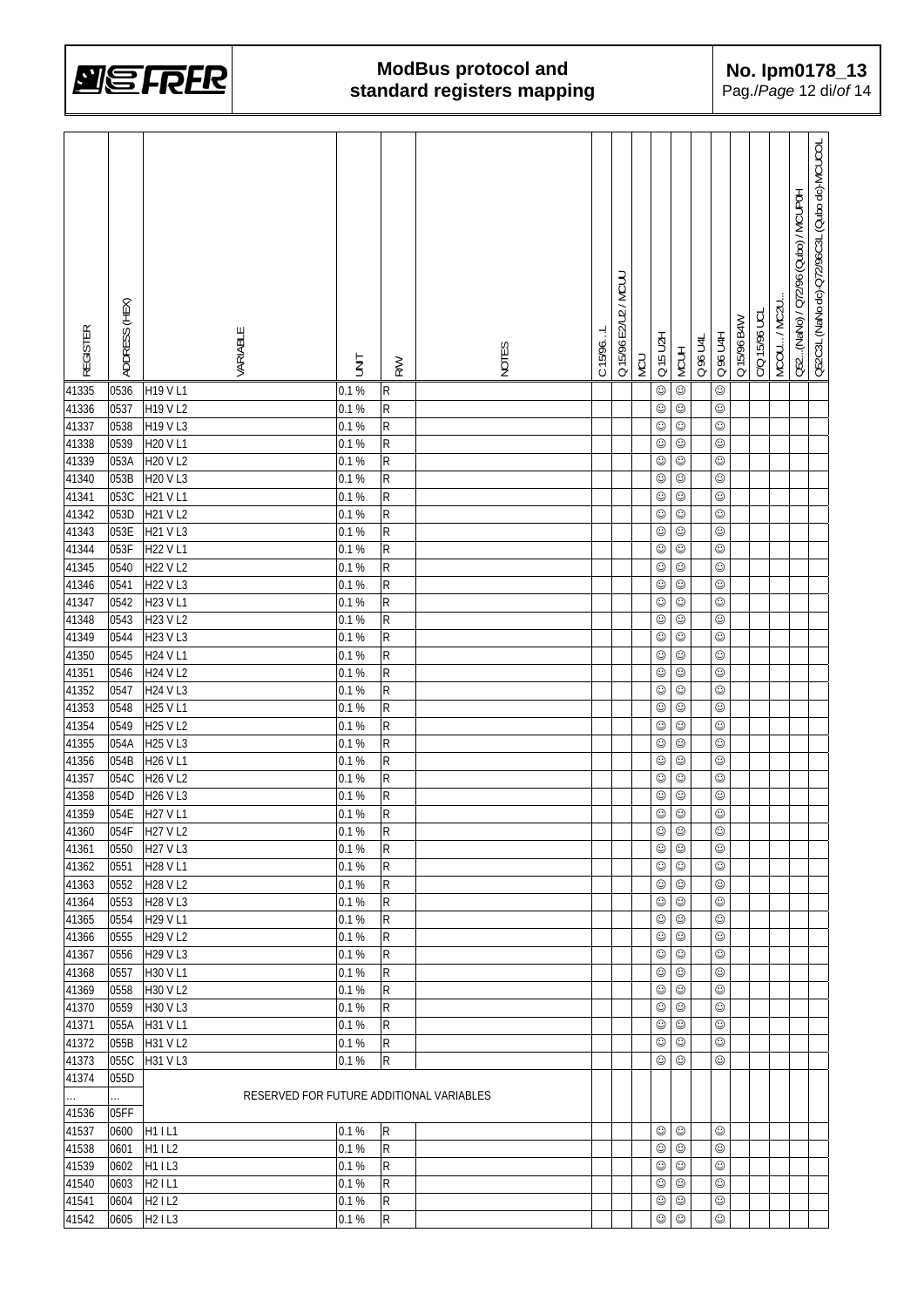

| <b>REGISTER</b> | ADDRESS (HEX) | VARIABLE                                 | <b>TINIT</b> | <b>RW</b>   | NOTES | C 15/96L | Q 15/96 E2/U2 / MCUU | <b>MCU</b> | Q 15 U2H       | <b>MCUH</b>              | Q 96 U4L | Q 96 U4H   | Q 15/96 B4W | C/Q 15/96 UCI | MCOU/MC2U | Q52(NaNo) / Q72/96 (Qubo) / MCUP0H | Q52C3L (NaNo dc)-Q72/96C3L (Qubo dc)-MCUCOL |
|-----------------|---------------|------------------------------------------|--------------|-------------|-------|----------|----------------------|------------|----------------|--------------------------|----------|------------|-------------|---------------|-----------|------------------------------------|---------------------------------------------|
| 41335           | 0536          | H19 V L1                                 | 0.1%         | ${\sf R}$   |       |          |                      |            | $\odot$        | $\odot$                  |          | $\odot$    |             |               |           |                                    |                                             |
| 41336           | 0537          | H19 V L2                                 | 0.1 %        | R           |       |          |                      |            | $_{\odot}$     | $\odot$                  |          | $\odot$    |             |               |           |                                    |                                             |
| 41337           | 0538          | H19 V L3                                 | 0.1%         | R           |       |          |                      |            | $_{\odot}$     | $\odot$                  |          | $_{\odot}$ |             |               |           |                                    |                                             |
| 41338           | 0539          | H20 V L1                                 | 0.1%         | R           |       |          |                      |            | ☺              | $_{\odot}$               |          | $_{\odot}$ |             |               |           |                                    |                                             |
| 41339           | 053A          | H20 V L2                                 | 0.1%         | R           |       |          |                      |            | ☺              | $_{\odot}$               |          | ☺          |             |               |           |                                    |                                             |
| 41340           | 053B          | H20 V L3                                 | 0.1%         | R           |       |          |                      |            | ☺              | $_{\odot}$               |          | $_{\odot}$ |             |               |           |                                    |                                             |
| 41341           | 053C          | H21 V L1                                 | 0.1 %        | R           |       |          |                      |            | ☺              | $_{\odot}$               |          | $_{\odot}$ |             |               |           |                                    |                                             |
| 41342           | 053D          | <b>H21 VL2</b>                           | 0.1%         | R           |       |          |                      |            | $_{\odot}$     | $\odot$                  |          | $\odot$    |             |               |           |                                    |                                             |
| 41343           | 053E          | H21 V L3                                 | 0.1 %        | R           |       |          |                      |            | $_{\odot}$     | $_{\odot}$               |          | $_{\odot}$ |             |               |           |                                    |                                             |
| 41344           | 053F          | H22 V L1                                 | 0.1%         | R           |       |          |                      |            | $_{\odot}$     | $_{\odot}$               |          | $\odot$    |             |               |           |                                    |                                             |
| 41345           | 0540          | H22 V L2                                 | 0.1 %        | R           |       |          |                      |            | $_{\odot}$     | $_{\odot}$               |          | $\odot$    |             |               |           |                                    |                                             |
| 41346           | 0541          | H22 V L3                                 | 0.1%         | R           |       |          |                      |            | $_{\odot}$     | $_{\odot}$               |          | $_{\odot}$ |             |               |           |                                    |                                             |
| 41347           | 0542          | H23 V L1                                 | 0.1%         | $\mathsf R$ |       |          |                      |            | $_{\odot}$     | $_{\odot}$               |          | $_{\odot}$ |             |               |           |                                    |                                             |
| 41348           | 0543          | H23 V L2                                 | 0.1%         | R           |       |          |                      |            | $_{\odot}$     | $_{\odot}$               |          | $_{\odot}$ |             |               |           |                                    |                                             |
| 41349           | 0544          | H23 V L3                                 | 0.1%         | $\mathsf R$ |       |          |                      |            | $_{\odot}$     | $_{\odot}$               |          | $_{\odot}$ |             |               |           |                                    |                                             |
| 41350           | 0545          | H24 V L1                                 | 0.1%         | R           |       |          |                      |            | $_{\odot}$     | $_{\odot}$               |          | $\odot$    |             |               |           |                                    |                                             |
| 41351           | 0546          | H24 V L2                                 | 0.1%         | R           |       |          |                      |            | $_{\odot}$     | $_{\odot}$               |          | $_{\odot}$ |             |               |           |                                    |                                             |
| 41352           | 0547          | H24 V L3                                 | 0.1 %        | R           |       |          |                      |            | $_{\odot}$     | $_{\odot}$               |          | ☺          |             |               |           |                                    |                                             |
| 41353           | 0548          | H25 V L1                                 | 0.1%         | R           |       |          |                      |            | $_{\odot}$     | $_{\odot}$               |          | $_{\odot}$ |             |               |           |                                    |                                             |
| 41354           | 0549          | H25 V L2                                 | 0.1%         | R           |       |          |                      |            | $_{\odot}$     | $_{\odot}$               |          | $\odot$    |             |               |           |                                    |                                             |
| 41355           | 054A          | H25 V L3                                 | 0.1%         | R           |       |          |                      |            | $_{\odot}$     | $_{\odot}$               |          | $_{\odot}$ |             |               |           |                                    |                                             |
| 41356           | 054B          | H26 V L1                                 | 0.1%         | R           |       |          |                      |            | $_{\odot}$     | $\odot$                  |          | $_{\odot}$ |             |               |           |                                    |                                             |
| 41357           | 054C          | H26 V L2                                 | 0.1%         | R           |       |          |                      |            | ☺              | $_{\odot}$               |          | $_{\odot}$ |             |               |           |                                    |                                             |
| 41358           | 054D          | H26 V L3                                 | 0.1%         | R           |       |          |                      |            | ☺              | ☺                        |          | $_{\odot}$ |             |               |           |                                    |                                             |
| 41359           | 054E          | H27 V L1                                 | 0.1%         | R           |       |          |                      |            | $_{\odot}$     | $\odot$                  |          | $\odot$    |             |               |           |                                    |                                             |
| 41360           | 054F          | H27 V L2                                 | 0.1%         | K           |       |          |                      |            | $_{\odot}$     | $\odot$                  |          | $\odot$    |             |               |           |                                    |                                             |
| 41361           | 0550          | H27 V L3                                 | 0.1%         | R           |       |          |                      |            | $_{\odot}$     | $_{\odot}$               |          | ☺          |             |               |           |                                    |                                             |
| 41362           | 0551          | H28 V L1                                 | 0.1%         | R           |       |          |                      |            | $_{\odot}$     | $_{\odot}$               |          | ☺          |             |               |           |                                    |                                             |
| 41363           | 0552          | H28 V L2                                 | 0.1%         | R           |       |          |                      |            | ☺              | $\odot$                  |          | ☺          |             |               |           |                                    |                                             |
| 41364           | 0553          | H28 V L3                                 | 0.1%         | R           |       |          |                      |            | ☺              | $\odot$                  |          | ☺          |             |               |           |                                    |                                             |
| 41365           | 0554          | H29 V L1                                 | 0.1%         | ${\sf R}$   |       |          |                      |            | ☺              | $\odot$                  |          | $_{\odot}$ |             |               |           |                                    |                                             |
| 41366           | 0555          | H29 V L2                                 | 0.1%         | R           |       |          |                      |            | ☺              | $\odot$                  |          | ☺          |             |               |           |                                    |                                             |
| 41367           | 0556          | H29 V L3                                 | 0.1%         | R           |       |          |                      |            | ☺              | ☺                        |          | $_{\odot}$ |             |               |           |                                    |                                             |
| 41368           | 0557          | H30 V L1                                 | 0.1%         | R           |       |          |                      |            | ☺              | ☺                        |          | ☺          |             |               |           |                                    |                                             |
| 41369           | 0558          | H30 V L2                                 | 0.1%         | R           |       |          |                      |            | ☺              | $\odot$                  |          | $_{\odot}$ |             |               |           |                                    |                                             |
| 41370           | 0559          | H30 V L3                                 | 0.1%         | R           |       |          |                      |            | ☺              | $\odot$                  |          | ☺          |             |               |           |                                    |                                             |
| 41371           | 055A          | H31 V L1                                 | 0.1%         | R           |       |          |                      |            | $_{\odot}$     | $_{\odot}$               |          | $\odot$    |             |               |           |                                    |                                             |
|                 |               |                                          |              |             |       |          |                      |            |                |                          |          | $\odot$    |             |               |           |                                    |                                             |
| 41372<br>41373  | 055B<br>055C  | H31 V L2<br>H31 V L3                     | 0.1%<br>0.1% | R<br>R      |       |          |                      |            | ☺<br>☺         | $_{\odot}$<br>$_{\odot}$ |          | $\odot$    |             |               |           |                                    |                                             |
| 41374           | 055D          |                                          |              |             |       |          |                      |            |                |                          |          |            |             |               |           |                                    |                                             |
|                 |               | RESERVED FOR FUTURE ADDITIONAL VARIABLES |              |             |       |          |                      |            |                |                          |          |            |             |               |           |                                    |                                             |
| u.<br>41536     | .<br>05FF     |                                          |              |             |       |          |                      |            |                |                          |          |            |             |               |           |                                    |                                             |
|                 |               |                                          |              |             |       |          |                      |            |                |                          |          |            |             |               |           |                                    |                                             |
| 41537           | 0600          | H1 I L1                                  | 0.1%         | R           |       |          |                      |            | ☺              | ☺                        |          | ☺<br>☺     |             |               |           |                                    |                                             |
| 41538           | 0601          | H11L2                                    | 0.1%         | R           |       |          |                      |            | ☺              | $_{\odot}$               |          |            |             |               |           |                                    |                                             |
| 41539           | 0602          | H11L3                                    | 0.1%         | R           |       |          |                      |            | ☺              | $_{\odot}$               |          | $\odot$    |             |               |           |                                    |                                             |
| 41540           | 0603          | H <sub>2</sub> IL1                       | 0.1%         | R           |       |          |                      |            | ☺              | $_{\odot}$               |          | ☺          |             |               |           |                                    |                                             |
| 41541           | 0604          | H21L2                                    | 0.1%         | ${\sf R}$   |       |          |                      |            | $_{\odot}$     | $_{\odot}$               |          | $_{\odot}$ |             |               |           |                                    |                                             |
| 41542           | 0605          | H <sub>2</sub> IL <sub>3</sub>           | 0.1 %        | ${\sf R}$   |       |          |                      |            | $\circledcirc$ |                          |          | $\odot$    |             |               |           |                                    |                                             |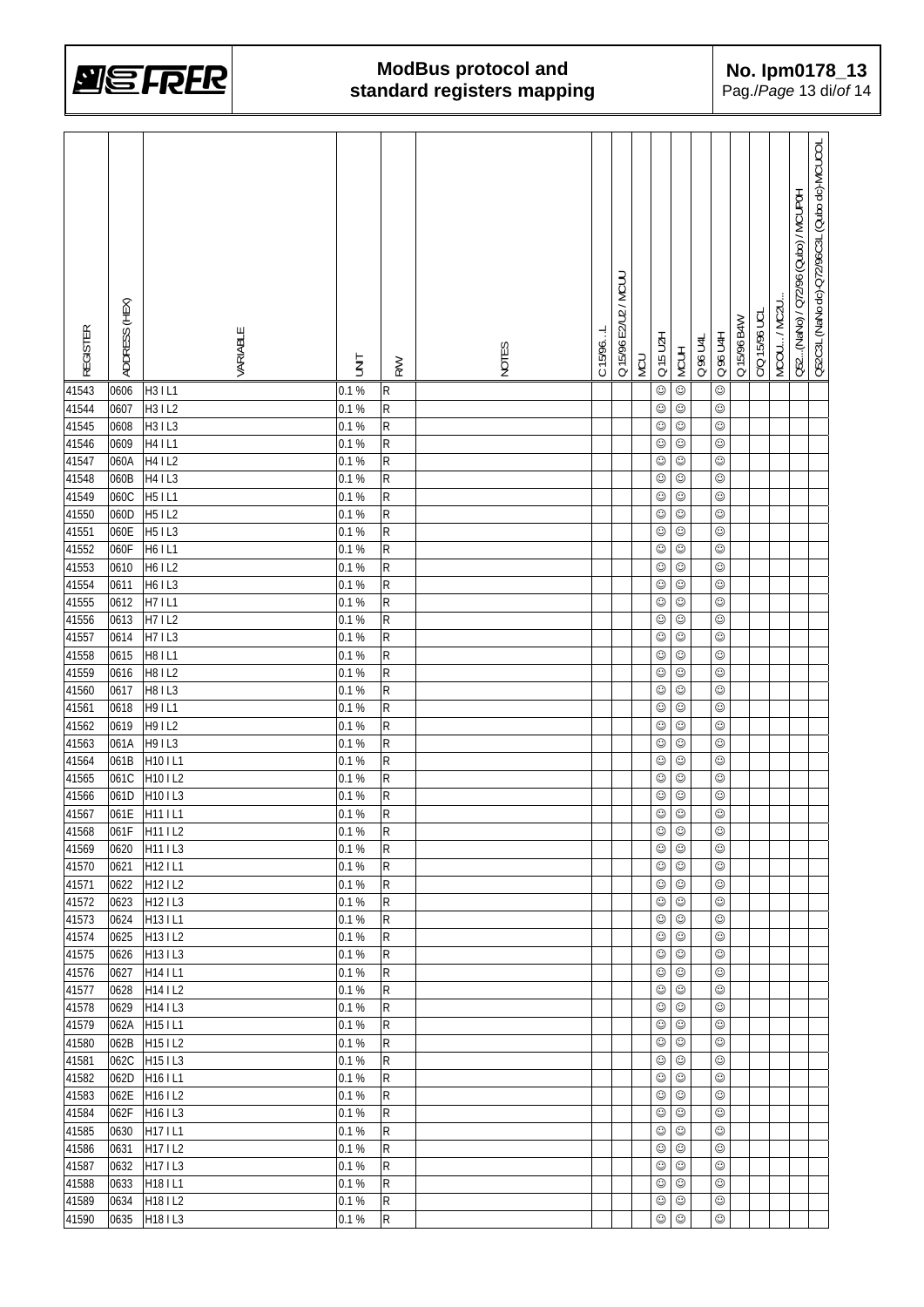

| <b>REGISTER</b> | ADDRESS (HEX) | VARIABLE                         | İML   | <b>RW</b>               | NOTES | C 15/96L | Q 15/96 E2/U2 / MCUL | NCU | Q 15 U2H   | <b>MCUH</b> | Q 96 U4L | Q 96 U4H   | Q 15/96 B4W | C/Q 15/96 UCL | MCOU / MC2U | Q52(NaNo) / Q72/96 (Qubo) / MCUP0H | Q52C3L (NaNo dc)-Q72/96C3L (Qubo dc)-MCUCOL |
|-----------------|---------------|----------------------------------|-------|-------------------------|-------|----------|----------------------|-----|------------|-------------|----------|------------|-------------|---------------|-------------|------------------------------------|---------------------------------------------|
| 41543           | 0606          | H3 I L1                          | 0.1%  | R                       |       |          |                      |     | $\odot$    | $\odot$     |          | $\odot$    |             |               |             |                                    |                                             |
| 41544           | 0607          | H3 I L2                          | 0.1%  | R                       |       |          |                      |     | $\odot$    | $_{\odot}$  |          | $_{\odot}$ |             |               |             |                                    |                                             |
| 41545           | 0608          | H3 I L3                          | 0.1%  | R                       |       |          |                      |     | $_{\odot}$ | ☺           |          | $_{\odot}$ |             |               |             |                                    |                                             |
| 41546           | 0609          | H4 I L1                          | 0.1%  | R                       |       |          |                      |     | ☺          | $\odot$     |          | $_{\odot}$ |             |               |             |                                    |                                             |
| 41547           | 060A          | H4 I L2                          | 0.1%  | R                       |       |          |                      |     | ☺          | $\odot$     |          | $\odot$    |             |               |             |                                    |                                             |
| 41548           | 060B          | H4 IL3                           | 0.1 % | $\mathsf{R}$            |       |          |                      |     | $_{\odot}$ | ☺           |          | $_{\odot}$ |             |               |             |                                    |                                             |
| 41549           | 060C          | H <sub>5</sub> IL1               | 0.1%  | R                       |       |          |                      |     | $\odot$    | $_{\odot}$  |          | $\odot$    |             |               |             |                                    |                                             |
| 41550           | 060D          | H5 I L2                          | 0.1%  | R                       |       |          |                      |     | $\odot$    | $\odot$     |          | $\odot$    |             |               |             |                                    |                                             |
| 41551           | 060E          | H5 I L3                          | 0.1%  | R                       |       |          |                      |     | $\odot$    | $\odot$     |          | $\odot$    |             |               |             |                                    |                                             |
| 41552           | 060F          | H6IL1                            | 0.1 % | R                       |       |          |                      |     | $\odot$    | $\odot$     |          | $_{\odot}$ |             |               |             |                                    |                                             |
| 41553           | 0610          | H6 I L2                          | 0.1%  | R                       |       |          |                      |     | $\odot$    | $_{\odot}$  |          | $_{\odot}$ |             |               |             |                                    |                                             |
| 41554           | 0611          | H6   L3                          | 0.1%  | R                       |       |          |                      |     | $\odot$    | $_{\odot}$  |          | $_{\odot}$ |             |               |             |                                    |                                             |
| 41555           | 0612          | H71L1                            | 0.1%  | R                       |       |          |                      |     | $\odot$    | $_{\odot}$  |          | $_{\odot}$ |             |               |             |                                    |                                             |
| 41556           | 0613          | H71L2                            | 0.1%  | R                       |       |          |                      |     | $\odot$    | $\odot$     |          | $\odot$    |             |               |             |                                    |                                             |
| 41557           | 0614          | H71L3                            | 0.1%  | R                       |       |          |                      |     | $\odot$    | $_{\odot}$  |          | $_{\odot}$ |             |               |             |                                    |                                             |
| 41558           | 0615          | H81L1                            | 0.1%  | R                       |       |          |                      |     | $\odot$    | $_{\odot}$  |          | $_{\odot}$ |             |               |             |                                    |                                             |
| 41559           | 0616          | H81L2                            | 0.1%  | R                       |       |          |                      |     | $\odot$    | $_{\odot}$  |          | $\odot$    |             |               |             |                                    |                                             |
| 41560           | 0617          | <b>H81L3</b>                     | 0.1%  | R                       |       |          |                      |     | $\odot$    | $\odot$     |          | $_{\odot}$ |             |               |             |                                    |                                             |
| 41561           | 0618          | H91L1                            | 0.1 % | $\mathsf{R}$            |       |          |                      |     | $\odot$    | $_{\odot}$  |          | $_{\odot}$ |             |               |             |                                    |                                             |
| 41562           | 0619          | H9 I L2                          | 0.1%  | R                       |       |          |                      |     | $\odot$    | $\odot$     |          | $_{\odot}$ |             |               |             |                                    |                                             |
| 41563           | 061A          | H9 I L3                          | 0.1 % | R                       |       |          |                      |     | $\odot$    | $_{\odot}$  |          | $_{\odot}$ |             |               |             |                                    |                                             |
| 41564           | 061B          | H10 IL1                          | 0.1%  | R                       |       |          |                      |     | $_{\odot}$ | $_{\odot}$  |          | $_{\odot}$ |             |               |             |                                    |                                             |
| 41565           | 061C          | H10 IL2                          | 0.1%  | R                       |       |          |                      |     | $_{\odot}$ | $_{\odot}$  |          | $_{\odot}$ |             |               |             |                                    |                                             |
| 41566           | 061D          | H10 IL3                          | 0.1 % | R                       |       |          |                      |     | $_{\odot}$ | $_{\odot}$  |          | $\odot$    |             |               |             |                                    |                                             |
| 41567           | 061E          | H11 IL1                          | 0.1%  | R                       |       |          |                      |     | $\odot$    | $\odot$     |          | $\odot$    |             |               |             |                                    |                                             |
| 41568           |               | 061F H111L2                      | 0.1 % | $\overline{\mathsf{R}}$ |       |          |                      |     | $\odot$    | $\odot$     |          | $\odot$    |             |               |             |                                    |                                             |
| 41569           | 0620          | H11 IL3                          | 0.1%  | R                       |       |          |                      |     | ☺          | ☺           |          | ☺          |             |               |             |                                    |                                             |
| 41570           | 0621          | H12 I L1                         | 0.1%  | R                       |       |          |                      |     | $_{\odot}$ | $_{\odot}$  |          | ☺          |             |               |             |                                    |                                             |
| 41571           | 0622          | H12 I L2                         | 0.1%  | R                       |       |          |                      |     | $_{\odot}$ | $_{\odot}$  |          | ☺          |             |               |             |                                    |                                             |
| 41572           | 0623          | H12 I L3                         | 0.1%  | R                       |       |          |                      |     | ☺          | $_{\odot}$  |          | ☺          |             |               |             |                                    |                                             |
| 41573           | 0624          | H13 I L1                         | 0.1%  | R                       |       |          |                      |     | ☺          | $_{\odot}$  |          | ☺          |             |               |             |                                    |                                             |
| 41574           | 0625          | H13 I L2                         | 0.1%  | R                       |       |          |                      |     | ☺          | $_{\odot}$  |          | ☺          |             |               |             |                                    |                                             |
| 41575           | 0626          | H13 IL3                          | 0.1%  | R                       |       |          |                      |     | $_{\odot}$ | $_{\odot}$  |          | $\odot$    |             |               |             |                                    |                                             |
| 41576           | 0627          | H14 I L1                         | 0.1%  | R                       |       |          |                      |     | ☺          | $_{\odot}$  |          | $_{\odot}$ |             |               |             |                                    |                                             |
| 41577           | 0628          | H14 I L2                         | 0.1 % | R                       |       |          |                      |     | $\odot$    | $_{\odot}$  |          | $\odot$    |             |               |             |                                    |                                             |
| 41578           | 0629          | H14   L3                         | 0.1%  | R                       |       |          |                      |     | ☺          | $_{\odot}$  |          | $\odot$    |             |               |             |                                    |                                             |
| 41579           | 062A          | H15 IL1                          | 0.1%  | R                       |       |          |                      |     | $_{\odot}$ | $_{\odot}$  |          | $\odot$    |             |               |             |                                    |                                             |
| 41580           | 062B          | H15 I L2                         | 0.1%  | R                       |       |          |                      |     | $_{\odot}$ | $_{\odot}$  |          | $_{\odot}$ |             |               |             |                                    |                                             |
| 41581           | 062C          | H <sub>15</sub>   L <sub>3</sub> | 0.1%  | R                       |       |          |                      |     | $_{\odot}$ | $_{\odot}$  |          | $_{\odot}$ |             |               |             |                                    |                                             |
| 41582           | 062D          | H <sub>16</sub> IL1              | 0.1 % | R                       |       |          |                      |     | $\odot$    | $_{\odot}$  |          | ☺          |             |               |             |                                    |                                             |
| 41583           | 062E          | H16 I L2                         | 0.1 % | R                       |       |          |                      |     | ☺          | $_{\odot}$  |          | ☺          |             |               |             |                                    |                                             |
| 41584           | 062F          | H16   L3                         | 0.1 % | R                       |       |          |                      |     | ☺          | ☺           |          | $_{\odot}$ |             |               |             |                                    |                                             |
| 41585           | 0630          | H17 IL1                          | 0.1 % | R                       |       |          |                      |     | $_{\odot}$ | $_{\odot}$  |          | ☺          |             |               |             |                                    |                                             |
| 41586           | 0631          | H171L2                           | 0.1 % | R                       |       |          |                      |     | $\odot$    | $_{\odot}$  |          | $\odot$    |             |               |             |                                    |                                             |
| 41587           | 0632          | H17   L3                         | 0.1 % | R                       |       |          |                      |     | ☺          | $_{\odot}$  |          | ☺          |             |               |             |                                    |                                             |
| 41588           | 0633          | H18 I L1                         | 0.1%  | R                       |       |          |                      |     | $_{\odot}$ | $_{\odot}$  |          | $_{\odot}$ |             |               |             |                                    |                                             |
| 41589           | 0634          | H18 I L2                         | 0.1%  | R                       |       |          |                      |     | $_{\odot}$ | $_{\odot}$  |          | $_{\odot}$ |             |               |             |                                    |                                             |
| 41590           | 0635          | H18 IL3                          | 0.1%  | ${\sf R}$               |       |          |                      |     | $_{\odot}$ | $_{\odot}$  |          | $\odot$    |             |               |             |                                    |                                             |